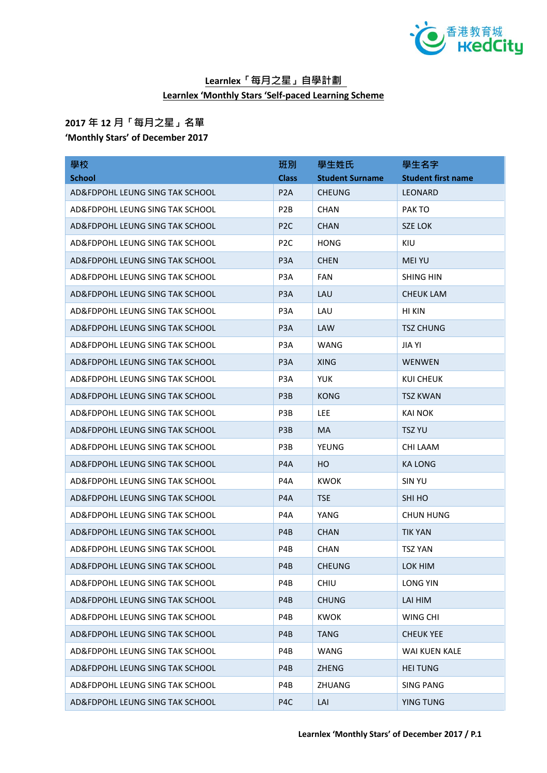

## **Learnlex「每月之星」自學計劃 Learnlex 'Monthly Stars 'Self-paced Learning Scheme**

## **2017 年 12 月「每月之星」名單 'Monthly Stars' of December 2017**

| 學校                              | 班別               | 學生姓氏                   | 學生名字                      |
|---------------------------------|------------------|------------------------|---------------------------|
| <b>School</b>                   | <b>Class</b>     | <b>Student Surname</b> | <b>Student first name</b> |
| AD&FDPOHL LEUNG SING TAK SCHOOL | P <sub>2</sub> A | <b>CHEUNG</b>          | LEONARD                   |
| AD&FDPOHL LEUNG SING TAK SCHOOL | P <sub>2</sub> B | <b>CHAN</b>            | PAK TO                    |
| AD&FDPOHL LEUNG SING TAK SCHOOL | P <sub>2C</sub>  | <b>CHAN</b>            | SZE LOK                   |
| AD&FDPOHL LEUNG SING TAK SCHOOL | P <sub>2</sub> C | <b>HONG</b>            | KIU                       |
| AD&FDPOHL LEUNG SING TAK SCHOOL | P <sub>3</sub> A | <b>CHEN</b>            | <b>MEI YU</b>             |
| AD&FDPOHL LEUNG SING TAK SCHOOL | P <sub>3</sub> A | <b>FAN</b>             | <b>SHING HIN</b>          |
| AD&FDPOHL LEUNG SING TAK SCHOOL | P <sub>3</sub> A | LAU                    | <b>CHEUK LAM</b>          |
| AD&FDPOHL LEUNG SING TAK SCHOOL | P <sub>3</sub> A | LAU                    | HI KIN                    |
| AD&FDPOHL LEUNG SING TAK SCHOOL | P <sub>3</sub> A | LAW                    | <b>TSZ CHUNG</b>          |
| AD&FDPOHL LEUNG SING TAK SCHOOL | P <sub>3</sub> A | WANG                   | JIA YI                    |
| AD&FDPOHL LEUNG SING TAK SCHOOL | P <sub>3</sub> A | <b>XING</b>            | <b>WENWEN</b>             |
| AD&FDPOHL LEUNG SING TAK SCHOOL | P <sub>3</sub> A | <b>YUK</b>             | <b>KUI CHEUK</b>          |
| AD&FDPOHL LEUNG SING TAK SCHOOL | P <sub>3</sub> B | <b>KONG</b>            | <b>TSZ KWAN</b>           |
| AD&FDPOHL LEUNG SING TAK SCHOOL | P <sub>3</sub> B | LEE                    | KAI NOK                   |
| AD&FDPOHL LEUNG SING TAK SCHOOL | P <sub>3</sub> B | <b>MA</b>              | <b>TSZ YU</b>             |
| AD&FDPOHL LEUNG SING TAK SCHOOL | P <sub>3</sub> B | YEUNG                  | CHI LAAM                  |
| AD&FDPOHL LEUNG SING TAK SCHOOL | P <sub>4</sub> A | HO                     | KA LONG                   |
| AD&FDPOHL LEUNG SING TAK SCHOOL | P <sub>4</sub> A | <b>KWOK</b>            | <b>SIN YU</b>             |
| AD&FDPOHL LEUNG SING TAK SCHOOL | P <sub>4</sub> A | <b>TSE</b>             | SHI HO                    |
| AD&FDPOHL LEUNG SING TAK SCHOOL | P4A              | YANG                   | <b>CHUN HUNG</b>          |
| AD&FDPOHL LEUNG SING TAK SCHOOL | P <sub>4</sub> B | <b>CHAN</b>            | <b>TIK YAN</b>            |
| AD&FDPOHL LEUNG SING TAK SCHOOL | P4B              | <b>CHAN</b>            | <b>TSZ YAN</b>            |
| AD&FDPOHL LEUNG SING TAK SCHOOL | P4B              | <b>CHEUNG</b>          | LOK HIM                   |
| AD&FDPOHL LEUNG SING TAK SCHOOL | P4B              | <b>CHIU</b>            | <b>LONG YIN</b>           |
| AD&FDPOHL LEUNG SING TAK SCHOOL | P4B              | <b>CHUNG</b>           | LAI HIM                   |
| AD&FDPOHL LEUNG SING TAK SCHOOL | P4B              | <b>KWOK</b>            | WING CHI                  |
| AD&FDPOHL LEUNG SING TAK SCHOOL | P <sub>4</sub> B | <b>TANG</b>            | <b>CHEUK YEE</b>          |
| AD&FDPOHL LEUNG SING TAK SCHOOL | P4B              | WANG                   | WAI KUEN KALE             |
| AD&FDPOHL LEUNG SING TAK SCHOOL | P <sub>4</sub> B | <b>ZHENG</b>           | <b>HEI TUNG</b>           |
| AD&FDPOHL LEUNG SING TAK SCHOOL | P4B              | <b>ZHUANG</b>          | <b>SING PANG</b>          |
| AD&FDPOHL LEUNG SING TAK SCHOOL | P4C              | LAI                    | <b>YING TUNG</b>          |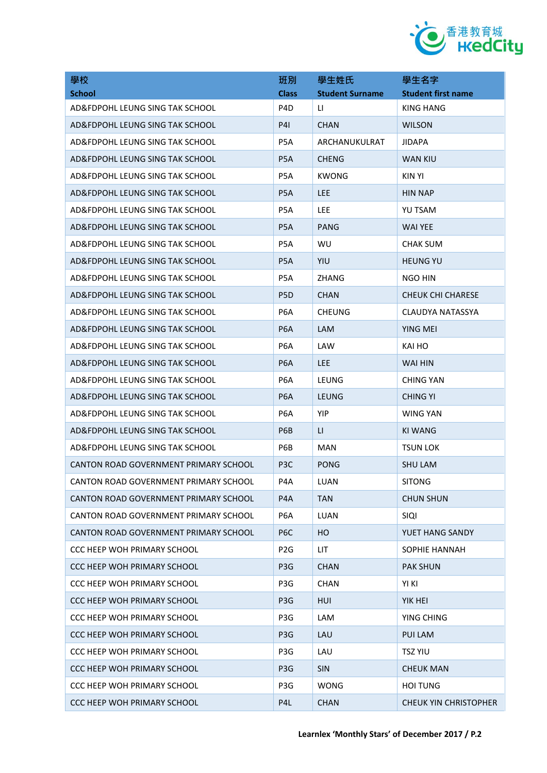

| 學校                                    | 班別               | 學生姓氏                   | 學生名字                         |
|---------------------------------------|------------------|------------------------|------------------------------|
| <b>School</b>                         | <b>Class</b>     | <b>Student Surname</b> | <b>Student first name</b>    |
| AD&FDPOHL LEUNG SING TAK SCHOOL       | P <sub>4</sub> D | LI.                    | KING HANG                    |
| AD&FDPOHL LEUNG SING TAK SCHOOL       | <b>P41</b>       | <b>CHAN</b>            | <b>WILSON</b>                |
| AD&FDPOHL LEUNG SING TAK SCHOOL       | P <sub>5</sub> A | ARCHANUKULRAT          | <b>JIDAPA</b>                |
| AD&FDPOHL LEUNG SING TAK SCHOOL       | P <sub>5</sub> A | <b>CHENG</b>           | <b>WAN KIU</b>               |
| AD&FDPOHL LEUNG SING TAK SCHOOL       | P <sub>5</sub> A | <b>KWONG</b>           | KIN YI                       |
| AD&FDPOHL LEUNG SING TAK SCHOOL       | P <sub>5</sub> A | <b>LEE</b>             | <b>HIN NAP</b>               |
| AD&FDPOHL LEUNG SING TAK SCHOOL       | P5A              | LEE.                   | YU TSAM                      |
| AD&FDPOHL LEUNG SING TAK SCHOOL       | P <sub>5</sub> A | <b>PANG</b>            | <b>WAI YEE</b>               |
| AD&FDPOHL LEUNG SING TAK SCHOOL       | P5A              | WU                     | <b>CHAK SUM</b>              |
| AD&FDPOHL LEUNG SING TAK SCHOOL       | P <sub>5</sub> A | <b>YIU</b>             | <b>HEUNG YU</b>              |
| AD&FDPOHL LEUNG SING TAK SCHOOL       | P5A              | ZHANG                  | NGO HIN                      |
| AD&FDPOHL LEUNG SING TAK SCHOOL       | P <sub>5</sub> D | <b>CHAN</b>            | <b>CHEUK CHI CHARESE</b>     |
| AD&FDPOHL LEUNG SING TAK SCHOOL       | P <sub>6</sub> A | <b>CHEUNG</b>          | CLAUDYA NATASSYA             |
| AD&FDPOHL LEUNG SING TAK SCHOOL       | P <sub>6</sub> A | <b>LAM</b>             | YING MEI                     |
| AD&FDPOHL LEUNG SING TAK SCHOOL       | P <sub>6</sub> A | LAW                    | KAI HO                       |
| AD&FDPOHL LEUNG SING TAK SCHOOL       | P <sub>6</sub> A | <b>LEE</b>             | WAI HIN                      |
| AD&FDPOHL LEUNG SING TAK SCHOOL       | P <sub>6</sub> A | LEUNG                  | <b>CHING YAN</b>             |
| AD&FDPOHL LEUNG SING TAK SCHOOL       | P <sub>6</sub> A | LEUNG                  | <b>CHING YI</b>              |
| AD&FDPOHL LEUNG SING TAK SCHOOL       | P <sub>6</sub> A | YIP                    | WING YAN                     |
| AD&FDPOHL LEUNG SING TAK SCHOOL       | P6B              | $\mathsf{L}\mathsf{L}$ | <b>KI WANG</b>               |
| AD&FDPOHL LEUNG SING TAK SCHOOL       | P6B              | <b>MAN</b>             | <b>TSUN LOK</b>              |
| CANTON ROAD GOVERNMENT PRIMARY SCHOOL | P <sub>3</sub> C | <b>PONG</b>            | <b>SHU LAM</b>               |
| CANTON ROAD GOVERNMENT PRIMARY SCHOOL | P4A              | LUAN                   | <b>SITONG</b>                |
| CANTON ROAD GOVERNMENT PRIMARY SCHOOL | P <sub>4</sub> A | <b>TAN</b>             | <b>CHUN SHUN</b>             |
| CANTON ROAD GOVERNMENT PRIMARY SCHOOL | P <sub>6</sub> A | <b>LUAN</b>            | <b>SIQI</b>                  |
| CANTON ROAD GOVERNMENT PRIMARY SCHOOL | P <sub>6</sub> C | HO                     | YUET HANG SANDY              |
| CCC HEEP WOH PRIMARY SCHOOL           | P <sub>2</sub> G | LIT                    | SOPHIE HANNAH                |
| <b>CCC HEEP WOH PRIMARY SCHOOL</b>    | P <sub>3</sub> G | <b>CHAN</b>            | <b>PAK SHUN</b>              |
| <b>CCC HEEP WOH PRIMARY SCHOOL</b>    | P3G              | <b>CHAN</b>            | YI KI                        |
| <b>CCC HEEP WOH PRIMARY SCHOOL</b>    | P <sub>3</sub> G | <b>HUI</b>             | YIK HEI                      |
| <b>CCC HEEP WOH PRIMARY SCHOOL</b>    | P3G              | LAM                    | YING CHING                   |
| <b>CCC HEEP WOH PRIMARY SCHOOL</b>    | P <sub>3</sub> G | LAU                    | <b>PUI LAM</b>               |
| <b>CCC HEEP WOH PRIMARY SCHOOL</b>    | P3G              | LAU                    | <b>TSZ YIU</b>               |
| <b>CCC HEEP WOH PRIMARY SCHOOL</b>    | P <sub>3</sub> G | <b>SIN</b>             | <b>CHEUK MAN</b>             |
| <b>CCC HEEP WOH PRIMARY SCHOOL</b>    | P3G              | <b>WONG</b>            | <b>HOI TUNG</b>              |
| <b>CCC HEEP WOH PRIMARY SCHOOL</b>    | P4L              | <b>CHAN</b>            | <b>CHEUK YIN CHRISTOPHER</b> |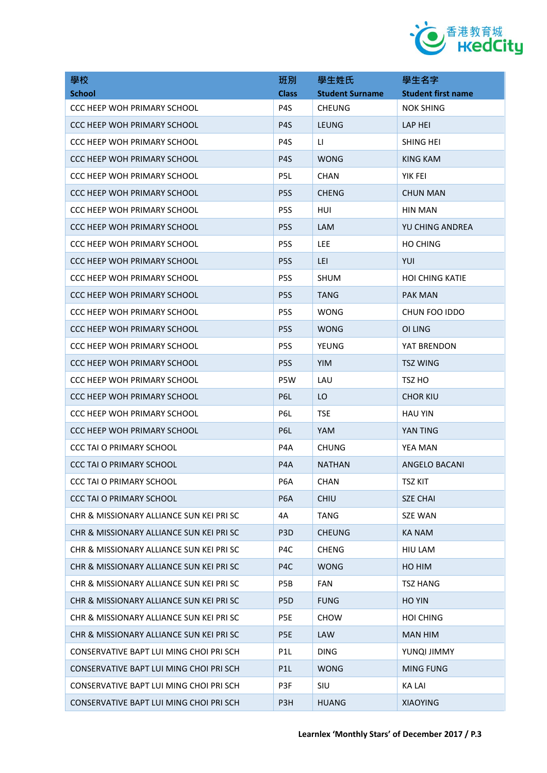

| 學校                                       | 班別               | 學生姓氏                   | 學生名字                      |
|------------------------------------------|------------------|------------------------|---------------------------|
| <b>School</b>                            | <b>Class</b>     | <b>Student Surname</b> | <b>Student first name</b> |
| CCC HEEP WOH PRIMARY SCHOOL              | P4S              | <b>CHEUNG</b>          | <b>NOK SHING</b>          |
| CCC HEEP WOH PRIMARY SCHOOL              | P <sub>4</sub> S | <b>LEUNG</b>           | LAP HEI                   |
| CCC HEEP WOH PRIMARY SCHOOL              | P <sub>4</sub> S | П                      | SHING HEI                 |
| CCC HEEP WOH PRIMARY SCHOOL              | P <sub>4</sub> S | <b>WONG</b>            | KING KAM                  |
| CCC HEEP WOH PRIMARY SCHOOL              | P <sub>5</sub> L | <b>CHAN</b>            | YIK FEI                   |
| CCC HEEP WOH PRIMARY SCHOOL              | P <sub>5</sub> S | <b>CHENG</b>           | <b>CHUN MAN</b>           |
| CCC HEEP WOH PRIMARY SCHOOL              | P <sub>5</sub> S | HUI                    | HIN MAN                   |
| CCC HEEP WOH PRIMARY SCHOOL              | P <sub>5</sub> S | <b>LAM</b>             | YU CHING ANDREA           |
| CCC HEEP WOH PRIMARY SCHOOL              | P <sub>5</sub> S | <b>LEE</b>             | <b>HO CHING</b>           |
| CCC HEEP WOH PRIMARY SCHOOL              | P <sub>5</sub> S | LEI.                   | YUI                       |
| CCC HEEP WOH PRIMARY SCHOOL              | P <sub>5</sub> S | <b>SHUM</b>            | <b>HOI CHING KATIE</b>    |
| CCC HEEP WOH PRIMARY SCHOOL              | P <sub>5</sub> S | <b>TANG</b>            | <b>PAK MAN</b>            |
| <b>CCC HEEP WOH PRIMARY SCHOOL</b>       | P <sub>5</sub> S | <b>WONG</b>            | CHUN FOO IDDO             |
| CCC HEEP WOH PRIMARY SCHOOL              | P <sub>5</sub> S | <b>WONG</b>            | OI LING                   |
| <b>CCC HEEP WOH PRIMARY SCHOOL</b>       | P <sub>5</sub> S | YEUNG                  | YAT BRENDON               |
| CCC HEEP WOH PRIMARY SCHOOL              | P <sub>5</sub> S | <b>YIM</b>             | <b>TSZ WING</b>           |
| CCC HEEP WOH PRIMARY SCHOOL              | P5W              | LAU                    | TSZ HO                    |
| CCC HEEP WOH PRIMARY SCHOOL              | P6L              | LO                     | <b>CHOR KIU</b>           |
| CCC HEEP WOH PRIMARY SCHOOL              | P6L              | <b>TSE</b>             | <b>HAU YIN</b>            |
| CCC HEEP WOH PRIMARY SCHOOL              | P6L              | <b>YAM</b>             | YAN TING                  |
| <b>CCC TAI O PRIMARY SCHOOL</b>          | P4A              | <b>CHUNG</b>           | YEA MAN                   |
| CCC TAI O PRIMARY SCHOOL                 | P <sub>4</sub> A | <b>NATHAN</b>          | ANGELO BACANI             |
| <b>CCC TAI O PRIMARY SCHOOL</b>          | P <sub>6</sub> A | CHAN                   | <b>TSZ KIT</b>            |
| CCC TAI O PRIMARY SCHOOL                 | P <sub>6</sub> A | <b>CHIU</b>            | <b>SZE CHAI</b>           |
| CHR & MISSIONARY ALLIANCE SUN KEI PRI SC | 4A               | <b>TANG</b>            | <b>SZE WAN</b>            |
| CHR & MISSIONARY ALLIANCE SUN KEI PRI SC | P <sub>3</sub> D | <b>CHEUNG</b>          | <b>KA NAM</b>             |
| CHR & MISSIONARY ALLIANCE SUN KEI PRI SC | P4C              | <b>CHENG</b>           | HIU LAM                   |
| CHR & MISSIONARY ALLIANCE SUN KEI PRI SC | P <sub>4</sub> C | <b>WONG</b>            | HO HIM                    |
| CHR & MISSIONARY ALLIANCE SUN KEI PRI SC | P5B              | <b>FAN</b>             | <b>TSZ HANG</b>           |
| CHR & MISSIONARY ALLIANCE SUN KEI PRI SC | P <sub>5</sub> D | <b>FUNG</b>            | <b>HO YIN</b>             |
| CHR & MISSIONARY ALLIANCE SUN KEI PRI SC | P <sub>5E</sub>  | <b>CHOW</b>            | <b>HOI CHING</b>          |
| CHR & MISSIONARY ALLIANCE SUN KEI PRI SC | P <sub>5E</sub>  | <b>LAW</b>             | <b>MAN HIM</b>            |
| CONSERVATIVE BAPT LUI MING CHOI PRI SCH  | P <sub>1</sub> L | <b>DING</b>            | YUNQI JIMMY               |
| CONSERVATIVE BAPT LUI MING CHOI PRI SCH  | P <sub>1</sub> L | <b>WONG</b>            | <b>MING FUNG</b>          |
| CONSERVATIVE BAPT LUI MING CHOI PRI SCH  | P3F              | SIU                    | <b>KA LAI</b>             |
| CONSERVATIVE BAPT LUI MING CHOI PRI SCH  | P <sub>3</sub> H | <b>HUANG</b>           | <b>XIAOYING</b>           |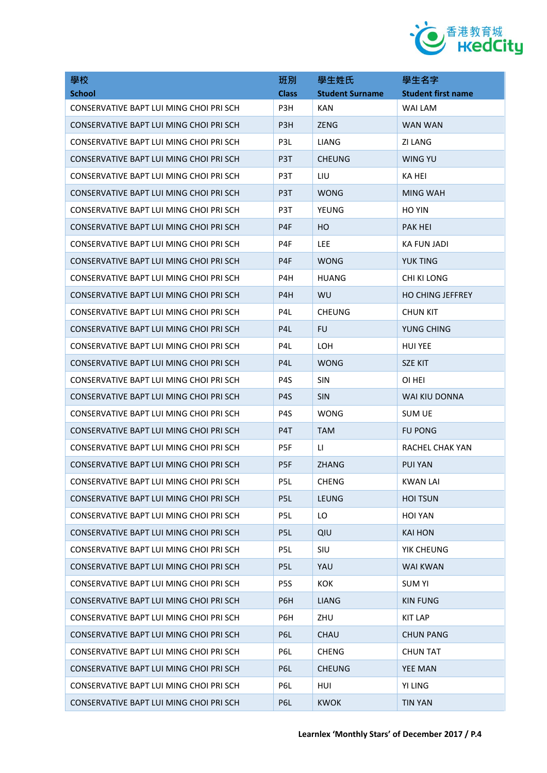

| 學校                                      | 班別               | 學生姓氏                   | 學生名字                      |
|-----------------------------------------|------------------|------------------------|---------------------------|
| <b>School</b>                           | <b>Class</b>     | <b>Student Surname</b> | <b>Student first name</b> |
| CONSERVATIVE BAPT LUI MING CHOI PRI SCH | P3H              | <b>KAN</b>             | WAI LAM                   |
| CONSERVATIVE BAPT LUI MING CHOI PRI SCH | P <sub>3H</sub>  | <b>ZENG</b>            | WAN WAN                   |
| CONSERVATIVE BAPT LUI MING CHOI PRI SCH | P <sub>3</sub> L | LIANG                  | ZI LANG                   |
| CONSERVATIVE BAPT LUI MING CHOI PRI SCH | P <sub>3</sub> T | <b>CHEUNG</b>          | WING YU                   |
| CONSERVATIVE BAPT LUI MING CHOI PRI SCH | P3T              | LIU                    | KA HEI                    |
| CONSERVATIVE BAPT LUI MING CHOI PRI SCH | P <sub>3</sub> T | <b>WONG</b>            | <b>MING WAH</b>           |
| CONSERVATIVE BAPT LUI MING CHOI PRI SCH | P <sub>3</sub> T | YEUNG                  | <b>HO YIN</b>             |
| CONSERVATIVE BAPT LUI MING CHOI PRI SCH | P4F              | HO.                    | <b>PAK HEI</b>            |
| CONSERVATIVE BAPT LUI MING CHOI PRI SCH | P <sub>4F</sub>  | LEE                    | <b>KA FUN JADI</b>        |
| CONSERVATIVE BAPT LUI MING CHOI PRI SCH | P <sub>4F</sub>  | <b>WONG</b>            | <b>YUK TING</b>           |
| CONSERVATIVE BAPT LUI MING CHOI PRI SCH | P4H              | <b>HUANG</b>           | CHI KI LONG               |
| CONSERVATIVE BAPT LUI MING CHOI PRI SCH | P4H              | <b>WU</b>              | <b>HO CHING JEFFREY</b>   |
| CONSERVATIVE BAPT LUI MING CHOI PRI SCH | P <sub>4</sub> L | <b>CHEUNG</b>          | <b>CHUN KIT</b>           |
| CONSERVATIVE BAPT LUI MING CHOI PRI SCH | P <sub>4</sub> L | <b>FU</b>              | YUNG CHING                |
| CONSERVATIVE BAPT LUI MING CHOI PRI SCH | P <sub>4</sub> L | LOH                    | <b>HUI YEE</b>            |
| CONSERVATIVE BAPT LUI MING CHOI PRI SCH | P <sub>4</sub> L | <b>WONG</b>            | <b>SZE KIT</b>            |
| CONSERVATIVE BAPT LUI MING CHOI PRI SCH | P <sub>4</sub> S | SIN                    | OI HEI                    |
| CONSERVATIVE BAPT LUI MING CHOI PRI SCH | P <sub>4</sub> S | <b>SIN</b>             | WAI KIU DONNA             |
| CONSERVATIVE BAPT LUI MING CHOI PRI SCH | P <sub>4</sub> S | <b>WONG</b>            | <b>SUM UE</b>             |
| CONSERVATIVE BAPT LUI MING CHOI PRI SCH | P4T              | <b>TAM</b>             | <b>FU PONG</b>            |
| CONSERVATIVE BAPT LUI MING CHOI PRI SCH | P5F              | u                      | RACHEL CHAK YAN           |
| CONSERVATIVE BAPT LUI MING CHOI PRI SCH | P <sub>5F</sub>  | <b>ZHANG</b>           | <b>PUI YAN</b>            |
| CONSERVATIVE BAPT LUI MING CHOI PRI SCH | P <sub>5L</sub>  | <b>CHENG</b>           | KWAN LAI                  |
| CONSERVATIVE BAPT LUI MING CHOI PRI SCH | P <sub>5</sub> L | <b>LEUNG</b>           | <b>HOI TSUN</b>           |
| CONSERVATIVE BAPT LUI MING CHOI PRI SCH | P5L              | LO                     | <b>HOI YAN</b>            |
| CONSERVATIVE BAPT LUI MING CHOI PRI SCH | P <sub>5L</sub>  | QIU                    | <b>KAI HON</b>            |
| CONSERVATIVE BAPT LUI MING CHOI PRI SCH | P5L              | SIU                    | YIK CHEUNG                |
| CONSERVATIVE BAPT LUI MING CHOI PRI SCH | P <sub>5L</sub>  | YAU                    | <b>WAI KWAN</b>           |
| CONSERVATIVE BAPT LUI MING CHOI PRI SCH | P <sub>5</sub> S | KOK                    | <b>SUM YI</b>             |
| CONSERVATIVE BAPT LUI MING CHOI PRI SCH | P6H              | <b>LIANG</b>           | <b>KIN FUNG</b>           |
| CONSERVATIVE BAPT LUI MING CHOI PRI SCH | P6H              | ZHU                    | <b>KIT LAP</b>            |
| CONSERVATIVE BAPT LUI MING CHOI PRI SCH | P <sub>6</sub> L | <b>CHAU</b>            | <b>CHUN PANG</b>          |
| CONSERVATIVE BAPT LUI MING CHOI PRI SCH | P6L              | <b>CHENG</b>           | <b>CHUN TAT</b>           |
| CONSERVATIVE BAPT LUI MING CHOI PRI SCH | P6L              | <b>CHEUNG</b>          | <b>YEE MAN</b>            |
| CONSERVATIVE BAPT LUI MING CHOI PRI SCH | P6L              | HUI                    | YI LING                   |
| CONSERVATIVE BAPT LUI MING CHOI PRI SCH | P6L              | <b>KWOK</b>            | <b>TIN YAN</b>            |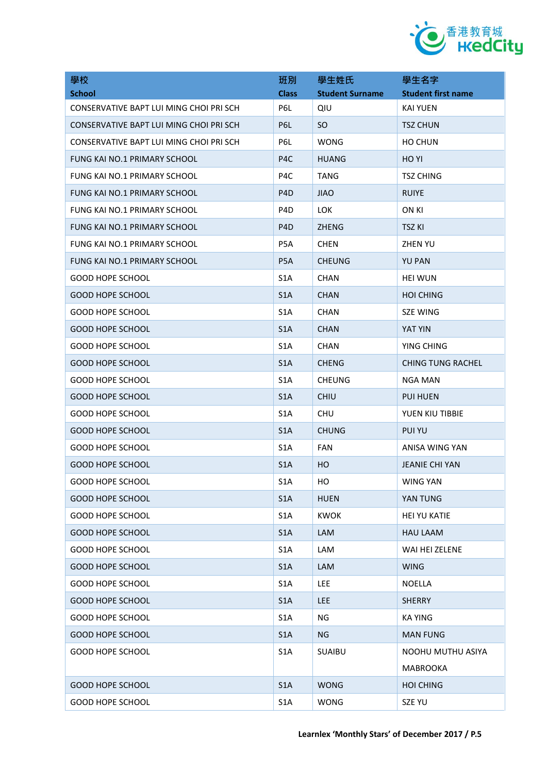

| 學校                                      | 班別               | 學生姓氏                   | 學生名字                      |
|-----------------------------------------|------------------|------------------------|---------------------------|
| <b>School</b>                           | <b>Class</b>     | <b>Student Surname</b> | <b>Student first name</b> |
| CONSERVATIVE BAPT LUI MING CHOI PRI SCH | P6L              | QIU                    | <b>KAI YUEN</b>           |
| CONSERVATIVE BAPT LUI MING CHOI PRI SCH | P6L              | SO.                    | <b>TSZ CHUN</b>           |
| CONSERVATIVE BAPT LUI MING CHOI PRI SCH | P6L              | <b>WONG</b>            | <b>HO CHUN</b>            |
| FUNG KAI NO.1 PRIMARY SCHOOL            | P4C              | <b>HUANG</b>           | HO YI                     |
| FUNG KAI NO.1 PRIMARY SCHOOL            | P <sub>4</sub> C | TANG                   | <b>TSZ CHING</b>          |
| FUNG KAI NO.1 PRIMARY SCHOOL            | P <sub>4</sub> D | <b>JIAO</b>            | <b>RUIYE</b>              |
| FUNG KAI NO.1 PRIMARY SCHOOL            | P <sub>4</sub> D | LOK.                   | ON KI                     |
| FUNG KAI NO.1 PRIMARY SCHOOL            | P <sub>4</sub> D | <b>ZHENG</b>           | <b>TSZ KI</b>             |
| FUNG KAI NO.1 PRIMARY SCHOOL            | P5A              | <b>CHEN</b>            | <b>ZHEN YU</b>            |
| FUNG KAI NO.1 PRIMARY SCHOOL            | P <sub>5</sub> A | <b>CHEUNG</b>          | <b>YU PAN</b>             |
| GOOD HOPE SCHOOL                        | S <sub>1</sub> A | <b>CHAN</b>            | <b>HEI WUN</b>            |
| <b>GOOD HOPE SCHOOL</b>                 | S <sub>1</sub> A | <b>CHAN</b>            | <b>HOI CHING</b>          |
| <b>GOOD HOPE SCHOOL</b>                 | S <sub>1</sub> A | <b>CHAN</b>            | <b>SZE WING</b>           |
| <b>GOOD HOPE SCHOOL</b>                 | S <sub>1</sub> A | <b>CHAN</b>            | YAT YIN                   |
| <b>GOOD HOPE SCHOOL</b>                 | S <sub>1</sub> A | <b>CHAN</b>            | YING CHING                |
| <b>GOOD HOPE SCHOOL</b>                 | S <sub>1</sub> A | <b>CHENG</b>           | <b>CHING TUNG RACHEL</b>  |
| <b>GOOD HOPE SCHOOL</b>                 | S <sub>1</sub> A | <b>CHEUNG</b>          | <b>NGA MAN</b>            |
| <b>GOOD HOPE SCHOOL</b>                 | S <sub>1</sub> A | <b>CHIU</b>            | <b>PUI HUEN</b>           |
| <b>GOOD HOPE SCHOOL</b>                 | S <sub>1</sub> A | <b>CHU</b>             | YUEN KIU TIBBIE           |
| <b>GOOD HOPE SCHOOL</b>                 | S <sub>1</sub> A | <b>CHUNG</b>           | <b>PUI YU</b>             |
| <b>GOOD HOPE SCHOOL</b>                 | S <sub>1</sub> A | <b>FAN</b>             | ANISA WING YAN            |
| <b>GOOD HOPE SCHOOL</b>                 | S <sub>1</sub> A | HO                     | <b>JEANIE CHI YAN</b>     |
| <b>GOOD HOPE SCHOOL</b>                 | S1A              | HO                     | <b>WING YAN</b>           |
| <b>GOOD HOPE SCHOOL</b>                 | S <sub>1</sub> A | <b>HUEN</b>            | YAN TUNG                  |
| <b>GOOD HOPE SCHOOL</b>                 | S <sub>1</sub> A | <b>KWOK</b>            | <b>HEI YU KATIE</b>       |
| <b>GOOD HOPE SCHOOL</b>                 | S1A              | LAM                    | <b>HAU LAAM</b>           |
| <b>GOOD HOPE SCHOOL</b>                 | S <sub>1</sub> A | LAM                    | WAI HEI ZELENE            |
| <b>GOOD HOPE SCHOOL</b>                 | S1A              | LAM                    | <b>WING</b>               |
| <b>GOOD HOPE SCHOOL</b>                 | S <sub>1</sub> A | LEE.                   | <b>NOELLA</b>             |
| <b>GOOD HOPE SCHOOL</b>                 | S1A              | <b>LEE</b>             | <b>SHERRY</b>             |
| <b>GOOD HOPE SCHOOL</b>                 | S <sub>1</sub> A | ΝG                     | <b>KA YING</b>            |
| <b>GOOD HOPE SCHOOL</b>                 | S <sub>1</sub> A | NG.                    | MAN FUNG                  |
| <b>GOOD HOPE SCHOOL</b>                 | S <sub>1</sub> A | <b>SUAIBU</b>          | NOOHU MUTHU ASIYA         |
|                                         |                  |                        | <b>MABROOKA</b>           |
| <b>GOOD HOPE SCHOOL</b>                 | S <sub>1</sub> A | <b>WONG</b>            | <b>HOI CHING</b>          |
| <b>GOOD HOPE SCHOOL</b>                 | S <sub>1</sub> A | <b>WONG</b>            | SZE YU                    |
|                                         |                  |                        |                           |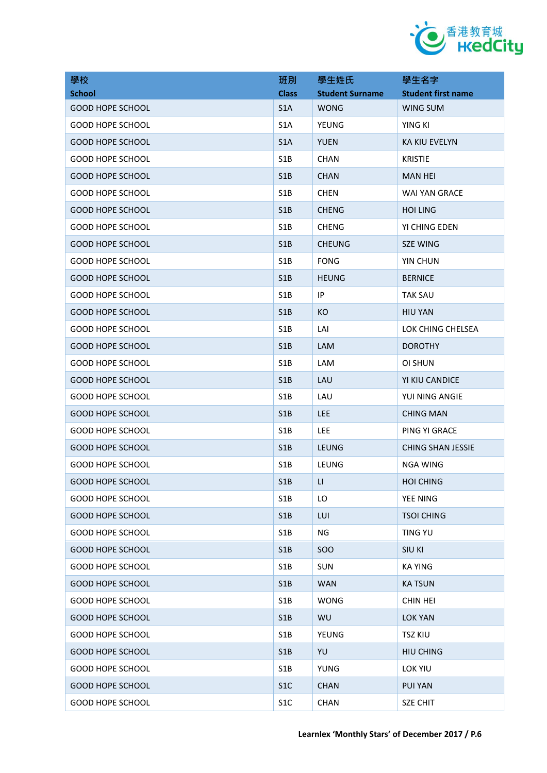

| 學校                      | 班別               | 學生姓氏                   | 學生名字                      |
|-------------------------|------------------|------------------------|---------------------------|
| <b>School</b>           | <b>Class</b>     | <b>Student Surname</b> | <b>Student first name</b> |
| <b>GOOD HOPE SCHOOL</b> | S <sub>1</sub> A | <b>WONG</b>            | WING SUM                  |
| <b>GOOD HOPE SCHOOL</b> | S <sub>1</sub> A | YEUNG                  | YING KI                   |
| <b>GOOD HOPE SCHOOL</b> | S <sub>1</sub> A | <b>YUEN</b>            | <b>KA KIU EVELYN</b>      |
| <b>GOOD HOPE SCHOOL</b> | S1B              | <b>CHAN</b>            | <b>KRISTIE</b>            |
| <b>GOOD HOPE SCHOOL</b> | S1B              | <b>CHAN</b>            | MAN HEI                   |
| <b>GOOD HOPE SCHOOL</b> | S <sub>1</sub> B | <b>CHEN</b>            | WAI YAN GRACE             |
| <b>GOOD HOPE SCHOOL</b> | S1B              | <b>CHENG</b>           | <b>HOI LING</b>           |
| <b>GOOD HOPE SCHOOL</b> | S <sub>1</sub> B | <b>CHENG</b>           | YI CHING EDEN             |
| <b>GOOD HOPE SCHOOL</b> | S1B              | <b>CHEUNG</b>          | <b>SZE WING</b>           |
| <b>GOOD HOPE SCHOOL</b> | S <sub>1</sub> B | <b>FONG</b>            | YIN CHUN                  |
| <b>GOOD HOPE SCHOOL</b> | S1B              | <b>HEUNG</b>           | <b>BERNICE</b>            |
| <b>GOOD HOPE SCHOOL</b> | S <sub>1</sub> B | IP                     | TAK SAU                   |
| <b>GOOD HOPE SCHOOL</b> | S1B              | KO                     | <b>HIU YAN</b>            |
| <b>GOOD HOPE SCHOOL</b> | S <sub>1</sub> B | LAI                    | LOK CHING CHELSEA         |
| <b>GOOD HOPE SCHOOL</b> | S1B              | LAM                    | <b>DOROTHY</b>            |
| <b>GOOD HOPE SCHOOL</b> | S <sub>1</sub> B | LAM                    | OI SHUN                   |
| <b>GOOD HOPE SCHOOL</b> | S1B              | LAU                    | YI KIU CANDICE            |
| <b>GOOD HOPE SCHOOL</b> | S <sub>1</sub> B | LAU                    | YUI NING ANGIE            |
| <b>GOOD HOPE SCHOOL</b> | S1B              | <b>LEE</b>             | <b>CHING MAN</b>          |
| <b>GOOD HOPE SCHOOL</b> | S <sub>1</sub> B | LEE                    | PING YI GRACE             |
| <b>GOOD HOPE SCHOOL</b> | S1B              | <b>LEUNG</b>           | <b>CHING SHAN JESSIE</b>  |
| <b>GOOD HOPE SCHOOL</b> | S <sub>1</sub> B | LEUNG                  | NGA WING                  |
| <b>GOOD HOPE SCHOOL</b> | S1B              | LL.                    | <b>HOI CHING</b>          |
| <b>GOOD HOPE SCHOOL</b> | S1B              | LO                     | YEE NING                  |
| <b>GOOD HOPE SCHOOL</b> | S1B              | LUI                    | <b>TSOI CHING</b>         |
| GOOD HOPE SCHOOL        | S1B              | ΝG                     | <b>TING YU</b>            |
| <b>GOOD HOPE SCHOOL</b> | S1B              | SOO                    | <b>SIU KI</b>             |
| <b>GOOD HOPE SCHOOL</b> | S1B              | <b>SUN</b>             | KA YING                   |
| <b>GOOD HOPE SCHOOL</b> | S1B              | <b>WAN</b>             | <b>KA TSUN</b>            |
| <b>GOOD HOPE SCHOOL</b> | S1B              | <b>WONG</b>            | <b>CHIN HEI</b>           |
| <b>GOOD HOPE SCHOOL</b> | S1B              | WU                     | <b>LOK YAN</b>            |
| <b>GOOD HOPE SCHOOL</b> | S1B              | YEUNG                  | <b>TSZ KIU</b>            |
| <b>GOOD HOPE SCHOOL</b> | S1B              | YU                     | <b>HIU CHING</b>          |
| <b>GOOD HOPE SCHOOL</b> | S1B              | <b>YUNG</b>            | LOK YIU                   |
| <b>GOOD HOPE SCHOOL</b> | S1C              | <b>CHAN</b>            | <b>PUI YAN</b>            |
| <b>GOOD HOPE SCHOOL</b> | S <sub>1</sub> C | CHAN                   | <b>SZE CHIT</b>           |
|                         |                  |                        |                           |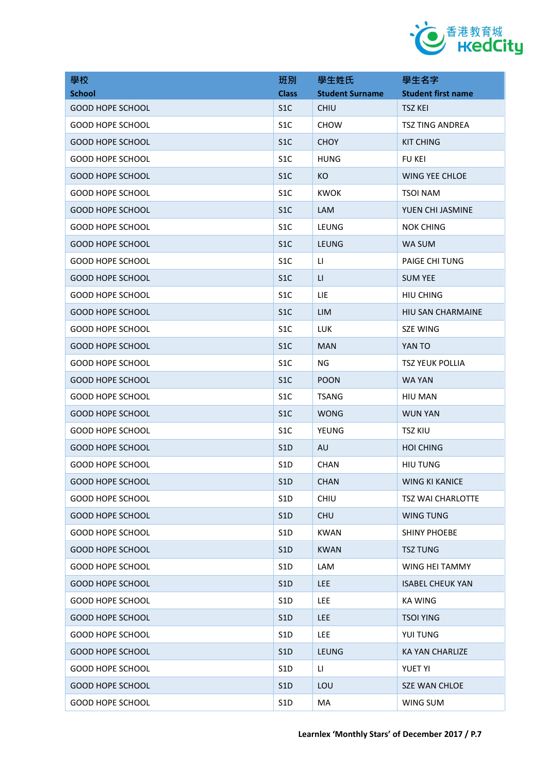

| 學校                      | 班別               | 學生姓氏                   | 學生名字                      |
|-------------------------|------------------|------------------------|---------------------------|
| <b>School</b>           | <b>Class</b>     | <b>Student Surname</b> | <b>Student first name</b> |
| <b>GOOD HOPE SCHOOL</b> | S <sub>1</sub> C | CHIU                   | <b>TSZ KEI</b>            |
| <b>GOOD HOPE SCHOOL</b> | S <sub>1</sub> C | <b>CHOW</b>            | <b>TSZ TING ANDREA</b>    |
| <b>GOOD HOPE SCHOOL</b> | S <sub>1</sub> C | <b>CHOY</b>            | <b>KIT CHING</b>          |
| <b>GOOD HOPE SCHOOL</b> | S <sub>1</sub> C | <b>HUNG</b>            | <b>FU KEI</b>             |
| <b>GOOD HOPE SCHOOL</b> | S <sub>1</sub> C | KO.                    | <b>WING YEE CHLOE</b>     |
| <b>GOOD HOPE SCHOOL</b> | S <sub>1</sub> C | <b>KWOK</b>            | TSOI NAM                  |
| <b>GOOD HOPE SCHOOL</b> | S <sub>1</sub> C | <b>LAM</b>             | YUEN CHI JASMINE          |
| <b>GOOD HOPE SCHOOL</b> | S <sub>1</sub> C | LEUNG                  | <b>NOK CHING</b>          |
| <b>GOOD HOPE SCHOOL</b> | S <sub>1</sub> C | <b>LEUNG</b>           | WA SUM                    |
| <b>GOOD HOPE SCHOOL</b> | S <sub>1</sub> C | LI.                    | <b>PAIGE CHI TUNG</b>     |
| <b>GOOD HOPE SCHOOL</b> | S <sub>1</sub> C | LI.                    | <b>SUM YEE</b>            |
| <b>GOOD HOPE SCHOOL</b> | S <sub>1</sub> C | LIE                    | <b>HIU CHING</b>          |
| <b>GOOD HOPE SCHOOL</b> | S <sub>1</sub> C | <b>LIM</b>             | HIU SAN CHARMAINE         |
| <b>GOOD HOPE SCHOOL</b> | S <sub>1</sub> C | <b>LUK</b>             | <b>SZE WING</b>           |
| <b>GOOD HOPE SCHOOL</b> | S <sub>1</sub> C | <b>MAN</b>             | YAN TO                    |
| <b>GOOD HOPE SCHOOL</b> | S <sub>1</sub> C | <b>NG</b>              | <b>TSZ YEUK POLLIA</b>    |
| <b>GOOD HOPE SCHOOL</b> | S <sub>1</sub> C | <b>POON</b>            | WA YAN                    |
| <b>GOOD HOPE SCHOOL</b> | S <sub>1</sub> C | <b>TSANG</b>           | HIU MAN                   |
| <b>GOOD HOPE SCHOOL</b> | S <sub>1</sub> C | <b>WONG</b>            | <b>WUN YAN</b>            |
| <b>GOOD HOPE SCHOOL</b> | S <sub>1</sub> C | <b>YEUNG</b>           | <b>TSZ KIU</b>            |
| <b>GOOD HOPE SCHOOL</b> | S <sub>1</sub> D | AU                     | <b>HOI CHING</b>          |
| <b>GOOD HOPE SCHOOL</b> | S <sub>1</sub> D | <b>CHAN</b>            | <b>HIU TUNG</b>           |
| <b>GOOD HOPE SCHOOL</b> | S1D              | <b>CHAN</b>            | WING KI KANICE            |
| <b>GOOD HOPE SCHOOL</b> | S <sub>1</sub> D | <b>CHIU</b>            | TSZ WAI CHARLOTTE         |
| <b>GOOD HOPE SCHOOL</b> | S1D              | <b>CHU</b>             | <b>WING TUNG</b>          |
| <b>GOOD HOPE SCHOOL</b> | S1D              | <b>KWAN</b>            | <b>SHINY PHOEBE</b>       |
| <b>GOOD HOPE SCHOOL</b> | S1D              | <b>KWAN</b>            | <b>TSZ TUNG</b>           |
| <b>GOOD HOPE SCHOOL</b> | S <sub>1</sub> D | LAM                    | WING HEI TAMMY            |
| <b>GOOD HOPE SCHOOL</b> | S <sub>1</sub> D | <b>LEE</b>             | <b>ISABEL CHEUK YAN</b>   |
| <b>GOOD HOPE SCHOOL</b> | S1D              | LEE                    | <b>KA WING</b>            |
| <b>GOOD HOPE SCHOOL</b> | S <sub>1</sub> D | <b>LEE</b>             | <b>TSOI YING</b>          |
| <b>GOOD HOPE SCHOOL</b> | S1D              | LEE.                   | YUI TUNG                  |
| <b>GOOD HOPE SCHOOL</b> | S1D              | <b>LEUNG</b>           | <b>KA YAN CHARLIZE</b>    |
| <b>GOOD HOPE SCHOOL</b> | S1D              | LI.                    | <b>YUET YI</b>            |
| <b>GOOD HOPE SCHOOL</b> | S1D              | LOU                    | SZE WAN CHLOE             |
| <b>GOOD HOPE SCHOOL</b> | S1D              | MA                     | WING SUM                  |
|                         |                  |                        |                           |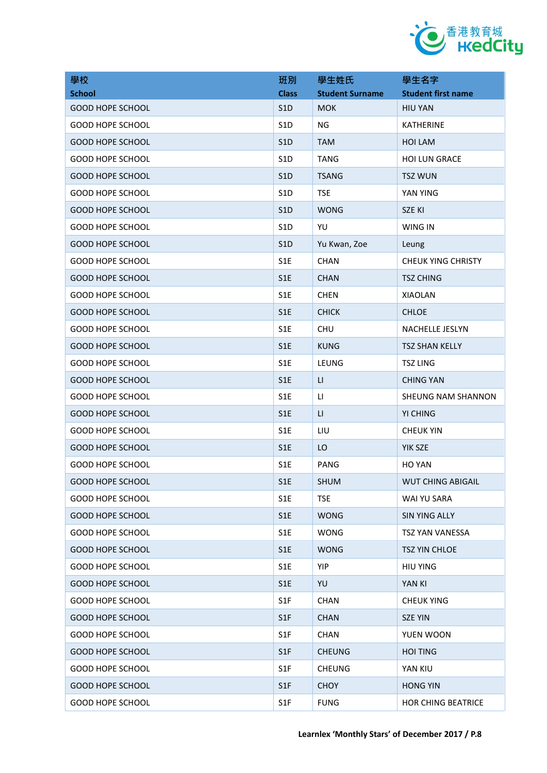

| 學校                      | 班別               | 學生姓氏                    | 學生名字                      |
|-------------------------|------------------|-------------------------|---------------------------|
| <b>School</b>           | <b>Class</b>     | <b>Student Surname</b>  | <b>Student first name</b> |
| <b>GOOD HOPE SCHOOL</b> | S1D              | <b>MOK</b>              | <b>HIU YAN</b>            |
| <b>GOOD HOPE SCHOOL</b> | S <sub>1</sub> D | NG                      | <b>KATHERINE</b>          |
| <b>GOOD HOPE SCHOOL</b> | S <sub>1</sub> D | <b>TAM</b>              | <b>HOI LAM</b>            |
| <b>GOOD HOPE SCHOOL</b> | S <sub>1</sub> D | <b>TANG</b>             | <b>HOI LUN GRACE</b>      |
| <b>GOOD HOPE SCHOOL</b> | S1D              | <b>TSANG</b>            | <b>TSZ WUN</b>            |
| <b>GOOD HOPE SCHOOL</b> | S <sub>1</sub> D | <b>TSE</b>              | YAN YING                  |
| <b>GOOD HOPE SCHOOL</b> | S <sub>1</sub> D | <b>WONG</b>             | SZE KI                    |
| <b>GOOD HOPE SCHOOL</b> | S <sub>1</sub> D | YU                      | WING IN                   |
| <b>GOOD HOPE SCHOOL</b> | S <sub>1</sub> D | Yu Kwan, Zoe            | Leung                     |
| <b>GOOD HOPE SCHOOL</b> | S <sub>1</sub> E | <b>CHAN</b>             | <b>CHEUK YING CHRISTY</b> |
| <b>GOOD HOPE SCHOOL</b> | S <sub>1</sub> E | <b>CHAN</b>             | <b>TSZ CHING</b>          |
| <b>GOOD HOPE SCHOOL</b> | S <sub>1</sub> E | <b>CHEN</b>             | <b>XIAOLAN</b>            |
| <b>GOOD HOPE SCHOOL</b> | S1E              | <b>CHICK</b>            | <b>CHLOE</b>              |
| <b>GOOD HOPE SCHOOL</b> | S <sub>1</sub> E | <b>CHU</b>              | <b>NACHELLE JESLYN</b>    |
| <b>GOOD HOPE SCHOOL</b> | S <sub>1</sub> E | <b>KUNG</b>             | <b>TSZ SHAN KELLY</b>     |
| <b>GOOD HOPE SCHOOL</b> | S <sub>1</sub> E | LEUNG                   | <b>TSZ LING</b>           |
| <b>GOOD HOPE SCHOOL</b> | S1E              | $\mathsf{L}\mathsf{I}$  | <b>CHING YAN</b>          |
| <b>GOOD HOPE SCHOOL</b> | S1E              | П                       | SHEUNG NAM SHANNON        |
| <b>GOOD HOPE SCHOOL</b> | S <sub>1</sub> E | $\mathsf{L}\mathsf{L}%$ | YI CHING                  |
| <b>GOOD HOPE SCHOOL</b> | S <sub>1</sub> E | LIU                     | <b>CHEUK YIN</b>          |
| <b>GOOD HOPE SCHOOL</b> | S <sub>1</sub> E | LO                      | YIK SZE                   |
| <b>GOOD HOPE SCHOOL</b> | S <sub>1</sub> E | PANG                    | <b>HO YAN</b>             |
| <b>GOOD HOPE SCHOOL</b> | S1E              | <b>SHUM</b>             | <b>WUT CHING ABIGAIL</b>  |
| <b>GOOD HOPE SCHOOL</b> | S1E              | <b>TSE</b>              | WAI YU SARA               |
| <b>GOOD HOPE SCHOOL</b> | S1E              | <b>WONG</b>             | <b>SIN YING ALLY</b>      |
| <b>GOOD HOPE SCHOOL</b> | S1E              | <b>WONG</b>             | <b>TSZ YAN VANESSA</b>    |
| <b>GOOD HOPE SCHOOL</b> | S <sub>1</sub> E | <b>WONG</b>             | <b>TSZ YIN CHLOE</b>      |
| <b>GOOD HOPE SCHOOL</b> | S <sub>1</sub> E | YIP                     | <b>HIU YING</b>           |
| <b>GOOD HOPE SCHOOL</b> | S1E              | YU                      | YAN KI                    |
| <b>GOOD HOPE SCHOOL</b> | S1F              | <b>CHAN</b>             | <b>CHEUK YING</b>         |
| <b>GOOD HOPE SCHOOL</b> | S <sub>1</sub> F | <b>CHAN</b>             | <b>SZE YIN</b>            |
| <b>GOOD HOPE SCHOOL</b> | S1F              | <b>CHAN</b>             | YUEN WOON                 |
| <b>GOOD HOPE SCHOOL</b> | S1F              | <b>CHEUNG</b>           | <b>HOI TING</b>           |
| <b>GOOD HOPE SCHOOL</b> | S1F              | <b>CHEUNG</b>           | YAN KIU                   |
| <b>GOOD HOPE SCHOOL</b> | S1F              | <b>CHOY</b>             | <b>HONG YIN</b>           |
| <b>GOOD HOPE SCHOOL</b> | S1F              | <b>FUNG</b>             | <b>HOR CHING BEATRICE</b> |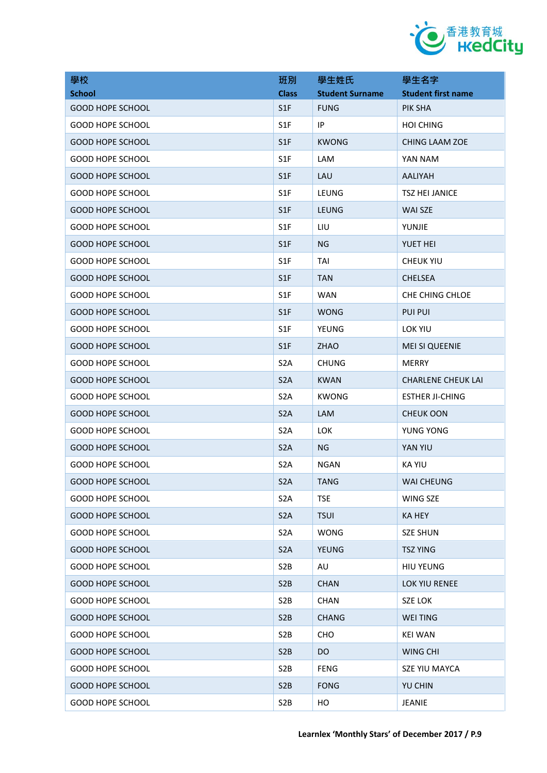

| 學校                      | 班別               | 學生姓氏                   | 學生名字                      |
|-------------------------|------------------|------------------------|---------------------------|
| <b>School</b>           | <b>Class</b>     | <b>Student Surname</b> | <b>Student first name</b> |
| <b>GOOD HOPE SCHOOL</b> | S1F              | <b>FUNG</b>            | PIK SHA                   |
| <b>GOOD HOPE SCHOOL</b> | S1F              | ΙP                     | <b>HOI CHING</b>          |
| <b>GOOD HOPE SCHOOL</b> | S <sub>1</sub> F | <b>KWONG</b>           | CHING LAAM ZOE            |
| <b>GOOD HOPE SCHOOL</b> | S <sub>1F</sub>  | LAM                    | YAN NAM                   |
| <b>GOOD HOPE SCHOOL</b> | S1F              | LAU                    | AALIYAH                   |
| <b>GOOD HOPE SCHOOL</b> | S <sub>1</sub> F | LEUNG                  | <b>TSZ HEI JANICE</b>     |
| <b>GOOD HOPE SCHOOL</b> | S <sub>1</sub> F | <b>LEUNG</b>           | WAI SZE                   |
| <b>GOOD HOPE SCHOOL</b> | S <sub>1</sub> F | LIU                    | YUNJIE                    |
| <b>GOOD HOPE SCHOOL</b> | S <sub>1</sub> F | ΝG                     | YUET HEI                  |
| <b>GOOD HOPE SCHOOL</b> | S <sub>1</sub> F | TAI                    | <b>CHEUK YIU</b>          |
| <b>GOOD HOPE SCHOOL</b> | S <sub>1</sub> F | <b>TAN</b>             | <b>CHELSEA</b>            |
| <b>GOOD HOPE SCHOOL</b> | S <sub>1</sub> F | <b>WAN</b>             | CHE CHING CHLOE           |
| <b>GOOD HOPE SCHOOL</b> | S1F              | <b>WONG</b>            | <b>PUI PUI</b>            |
| <b>GOOD HOPE SCHOOL</b> | S <sub>1</sub> F | YEUNG                  | LOK YIU                   |
| <b>GOOD HOPE SCHOOL</b> | S1F              | <b>ZHAO</b>            | <b>MEI SI QUEENIE</b>     |
| <b>GOOD HOPE SCHOOL</b> | S <sub>2</sub> A | <b>CHUNG</b>           | <b>MERRY</b>              |
| <b>GOOD HOPE SCHOOL</b> | S <sub>2</sub> A | <b>KWAN</b>            | <b>CHARLENE CHEUK LAI</b> |
| <b>GOOD HOPE SCHOOL</b> | S <sub>2</sub> A | <b>KWONG</b>           | <b>ESTHER JI-CHING</b>    |
| <b>GOOD HOPE SCHOOL</b> | S <sub>2</sub> A | LAM                    | <b>CHEUK OON</b>          |
| <b>GOOD HOPE SCHOOL</b> | S <sub>2</sub> A | <b>LOK</b>             | YUNG YONG                 |
| <b>GOOD HOPE SCHOOL</b> | S <sub>2</sub> A | <b>NG</b>              | YAN YIU                   |
| <b>GOOD HOPE SCHOOL</b> | S <sub>2</sub> A | <b>NGAN</b>            | <b>KA YIU</b>             |
| <b>GOOD HOPE SCHOOL</b> | S <sub>2</sub> A | <b>TANG</b>            | WAI CHEUNG                |
| <b>GOOD HOPE SCHOOL</b> | S <sub>2</sub> A | <b>TSE</b>             | WING SZE                  |
| <b>GOOD HOPE SCHOOL</b> | S <sub>2</sub> A | <b>TSUI</b>            | <b>KA HEY</b>             |
| <b>GOOD HOPE SCHOOL</b> | S <sub>2</sub> A | <b>WONG</b>            | <b>SZE SHUN</b>           |
| <b>GOOD HOPE SCHOOL</b> | S <sub>2</sub> A | <b>YEUNG</b>           | <b>TSZ YING</b>           |
| <b>GOOD HOPE SCHOOL</b> | S <sub>2</sub> B | AU                     | <b>HIU YEUNG</b>          |
| <b>GOOD HOPE SCHOOL</b> | S <sub>2</sub> B | <b>CHAN</b>            | <b>LOK YIU RENEE</b>      |
| <b>GOOD HOPE SCHOOL</b> | S <sub>2</sub> B | <b>CHAN</b>            | SZE LOK                   |
| <b>GOOD HOPE SCHOOL</b> | S <sub>2</sub> B | <b>CHANG</b>           | <b>WEI TING</b>           |
| <b>GOOD HOPE SCHOOL</b> | S <sub>2</sub> B | <b>CHO</b>             | <b>KEI WAN</b>            |
| <b>GOOD HOPE SCHOOL</b> | S <sub>2</sub> B | DO.                    | <b>WING CHI</b>           |
| <b>GOOD HOPE SCHOOL</b> | S <sub>2</sub> B | <b>FENG</b>            | SZE YIU MAYCA             |
| <b>GOOD HOPE SCHOOL</b> | S <sub>2</sub> B | <b>FONG</b>            | YU CHIN                   |
| <b>GOOD HOPE SCHOOL</b> | S <sub>2</sub> B | HO                     | JEANIE                    |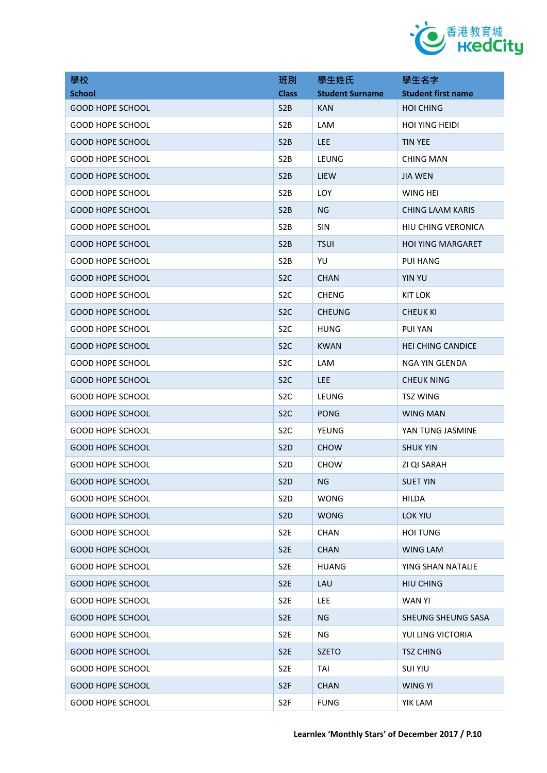

| 學校                      | 班別               | 學生姓氏                   | 學生名字                      |
|-------------------------|------------------|------------------------|---------------------------|
| <b>School</b>           | <b>Class</b>     | <b>Student Surname</b> | <b>Student first name</b> |
| <b>GOOD HOPE SCHOOL</b> | S <sub>2</sub> B | <b>KAN</b>             | <b>HOI CHING</b>          |
| <b>GOOD HOPE SCHOOL</b> | S <sub>2</sub> B | LAM                    | <b>HOI YING HEIDI</b>     |
| <b>GOOD HOPE SCHOOL</b> | S <sub>2</sub> B | <b>LEE</b>             | <b>TIN YEE</b>            |
| <b>GOOD HOPE SCHOOL</b> | S <sub>2</sub> B | LEUNG                  | <b>CHING MAN</b>          |
| <b>GOOD HOPE SCHOOL</b> | S2B              | <b>LIEW</b>            | <b>JIA WEN</b>            |
| GOOD HOPE SCHOOL        | S <sub>2</sub> B | LOY                    | WING HEI                  |
| <b>GOOD HOPE SCHOOL</b> | S <sub>2</sub> B | ΝG                     | <b>CHING LAAM KARIS</b>   |
| GOOD HOPE SCHOOL        | S <sub>2</sub> B | <b>SIN</b>             | <b>HIU CHING VERONICA</b> |
| <b>GOOD HOPE SCHOOL</b> | S <sub>2</sub> B | <b>TSUI</b>            | <b>HOI YING MARGARET</b>  |
| GOOD HOPE SCHOOL        | S <sub>2</sub> B | YU                     | <b>PUI HANG</b>           |
| <b>GOOD HOPE SCHOOL</b> | S <sub>2</sub> C | <b>CHAN</b>            | <b>YIN YU</b>             |
| <b>GOOD HOPE SCHOOL</b> | S <sub>2</sub> C | <b>CHENG</b>           | <b>KIT LOK</b>            |
| <b>GOOD HOPE SCHOOL</b> | S <sub>2</sub> C | <b>CHEUNG</b>          | <b>CHEUK KI</b>           |
| <b>GOOD HOPE SCHOOL</b> | S <sub>2</sub> C | <b>HUNG</b>            | <b>PUI YAN</b>            |
| <b>GOOD HOPE SCHOOL</b> | S <sub>2</sub> C | <b>KWAN</b>            | <b>HEI CHING CANDICE</b>  |
| <b>GOOD HOPE SCHOOL</b> | S <sub>2</sub> C | <b>LAM</b>             | NGA YIN GLENDA            |
| <b>GOOD HOPE SCHOOL</b> | S <sub>2</sub> C | <b>LEE</b>             | <b>CHEUK NING</b>         |
| <b>GOOD HOPE SCHOOL</b> | S <sub>2</sub> C | LEUNG                  | <b>TSZ WING</b>           |
| GOOD HOPE SCHOOL        | S <sub>2</sub> C | <b>PONG</b>            | <b>WING MAN</b>           |
| <b>GOOD HOPE SCHOOL</b> | S <sub>2</sub> C | YEUNG                  | YAN TUNG JASMINE          |
| <b>GOOD HOPE SCHOOL</b> | S <sub>2</sub> D | <b>CHOW</b>            | <b>SHUK YIN</b>           |
| <b>GOOD HOPE SCHOOL</b> | S <sub>2</sub> D | <b>CHOW</b>            | ZI QI SARAH               |
| <b>GOOD HOPE SCHOOL</b> | S <sub>2</sub> D | NG                     | <b>SUET YIN</b>           |
| <b>GOOD HOPE SCHOOL</b> | S <sub>2</sub> D | <b>WONG</b>            | <b>HILDA</b>              |
| <b>GOOD HOPE SCHOOL</b> | S <sub>2</sub> D | <b>WONG</b>            | <b>LOK YIU</b>            |
| <b>GOOD HOPE SCHOOL</b> | S <sub>2E</sub>  | <b>CHAN</b>            | <b>HOI TUNG</b>           |
| <b>GOOD HOPE SCHOOL</b> | S <sub>2E</sub>  | <b>CHAN</b>            | <b>WING LAM</b>           |
| <b>GOOD HOPE SCHOOL</b> | S <sub>2</sub> E | <b>HUANG</b>           | YING SHAN NATALIE         |
| <b>GOOD HOPE SCHOOL</b> | S <sub>2E</sub>  | LAU                    | <b>HIU CHING</b>          |
| <b>GOOD HOPE SCHOOL</b> | S <sub>2</sub> E | LEE                    | WAN YI                    |
| <b>GOOD HOPE SCHOOL</b> | S <sub>2E</sub>  | <b>NG</b>              | SHEUNG SHEUNG SASA        |
| <b>GOOD HOPE SCHOOL</b> | S <sub>2</sub> E | ΝG                     | YUI LING VICTORIA         |
| <b>GOOD HOPE SCHOOL</b> | S <sub>2E</sub>  | <b>SZETO</b>           | <b>TSZ CHING</b>          |
| <b>GOOD HOPE SCHOOL</b> | S <sub>2</sub> E | TAI                    | <b>SUI YIU</b>            |
| <b>GOOD HOPE SCHOOL</b> | S <sub>2F</sub>  | <b>CHAN</b>            | <b>WING YI</b>            |
| <b>GOOD HOPE SCHOOL</b> | S <sub>2F</sub>  | <b>FUNG</b>            | YIK LAM                   |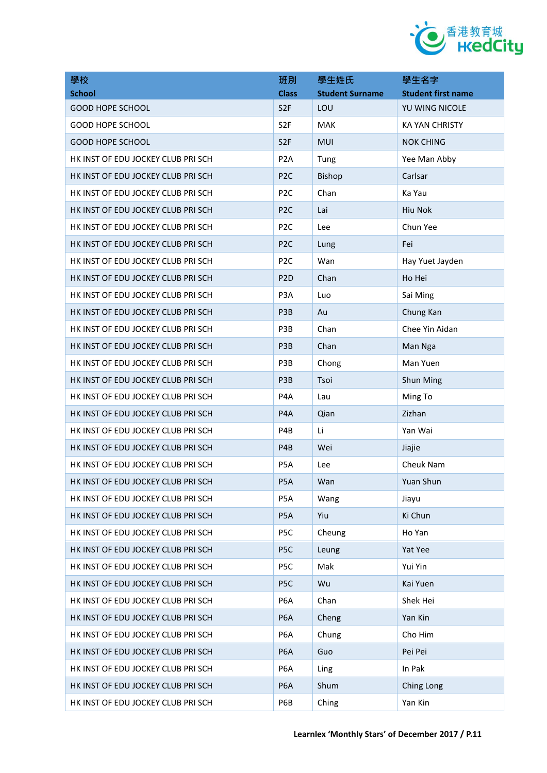

| 學校                                 | 班別               | 學生姓氏                   | 學生名字                      |
|------------------------------------|------------------|------------------------|---------------------------|
| <b>School</b>                      | <b>Class</b>     | <b>Student Surname</b> | <b>Student first name</b> |
| <b>GOOD HOPE SCHOOL</b>            | S <sub>2F</sub>  | LOU                    | YU WING NICOLE            |
| <b>GOOD HOPE SCHOOL</b>            | S <sub>2F</sub>  | <b>MAK</b>             | <b>KA YAN CHRISTY</b>     |
| <b>GOOD HOPE SCHOOL</b>            | S <sub>2F</sub>  | <b>MUI</b>             | <b>NOK CHING</b>          |
| HK INST OF EDU JOCKEY CLUB PRI SCH | P <sub>2</sub> A | Tung                   | Yee Man Abby              |
| HK INST OF EDU JOCKEY CLUB PRI SCH | P <sub>2C</sub>  | Bishop                 | Carlsar                   |
| HK INST OF EDU JOCKEY CLUB PRI SCH | P <sub>2C</sub>  | Chan                   | Ka Yau                    |
| HK INST OF EDU JOCKEY CLUB PRI SCH | P <sub>2C</sub>  | Lai                    | Hiu Nok                   |
| HK INST OF EDU JOCKEY CLUB PRI SCH | P <sub>2C</sub>  | Lee                    | Chun Yee                  |
| HK INST OF EDU JOCKEY CLUB PRI SCH | P <sub>2C</sub>  | Lung                   | Fei                       |
| HK INST OF EDU JOCKEY CLUB PRI SCH | P <sub>2</sub> C | Wan                    | Hay Yuet Jayden           |
| HK INST OF EDU JOCKEY CLUB PRI SCH | P <sub>2</sub> D | Chan                   | Ho Hei                    |
| HK INST OF EDU JOCKEY CLUB PRI SCH | P <sub>3</sub> A | Luo                    | Sai Ming                  |
| HK INST OF EDU JOCKEY CLUB PRI SCH | P3B              | Au                     | Chung Kan                 |
| HK INST OF EDU JOCKEY CLUB PRI SCH | P3B              | Chan                   | Chee Yin Aidan            |
| HK INST OF EDU JOCKEY CLUB PRI SCH | P <sub>3</sub> B | Chan                   | Man Nga                   |
| HK INST OF EDU JOCKEY CLUB PRI SCH | P3B              | Chong                  | Man Yuen                  |
| HK INST OF EDU JOCKEY CLUB PRI SCH | P3B              | Tsoi                   | Shun Ming                 |
| HK INST OF EDU JOCKEY CLUB PRI SCH | P <sub>4</sub> A | Lau                    | Ming To                   |
| HK INST OF EDU JOCKEY CLUB PRI SCH | P <sub>4</sub> A | Qian                   | Zizhan                    |
| HK INST OF EDU JOCKEY CLUB PRI SCH | P4B              | Li                     | Yan Wai                   |
| HK INST OF EDU JOCKEY CLUB PRI SCH | P <sub>4</sub> B | Wei                    | Jiajie                    |
| HK INST OF EDU JOCKEY CLUB PRI SCH | P <sub>5</sub> A | Lee                    | Cheuk Nam                 |
| HK INST OF EDU JOCKEY CLUB PRI SCH | P <sub>5</sub> A | Wan                    | Yuan Shun                 |
| HK INST OF EDU JOCKEY CLUB PRI SCH | P5A              | Wang                   | Jiayu                     |
| HK INST OF EDU JOCKEY CLUB PRI SCH | P <sub>5</sub> A | Yiu                    | Ki Chun                   |
| HK INST OF EDU JOCKEY CLUB PRI SCH | P5C              | Cheung                 | Ho Yan                    |
| HK INST OF EDU JOCKEY CLUB PRI SCH | P <sub>5</sub> C | Leung                  | Yat Yee                   |
| HK INST OF EDU JOCKEY CLUB PRI SCH | P5C              | Mak                    | Yui Yin                   |
| HK INST OF EDU JOCKEY CLUB PRI SCH | P <sub>5C</sub>  | Wu                     | Kai Yuen                  |
| HK INST OF EDU JOCKEY CLUB PRI SCH | P6A              | Chan                   | Shek Hei                  |
| HK INST OF EDU JOCKEY CLUB PRI SCH | P <sub>6</sub> A | Cheng                  | Yan Kin                   |
| HK INST OF EDU JOCKEY CLUB PRI SCH | P <sub>6</sub> A | Chung                  | Cho Him                   |
| HK INST OF EDU JOCKEY CLUB PRI SCH | P <sub>6</sub> A | Guo                    | Pei Pei                   |
| HK INST OF EDU JOCKEY CLUB PRI SCH | P6A              | Ling                   | In Pak                    |
| HK INST OF EDU JOCKEY CLUB PRI SCH | P <sub>6</sub> A | Shum                   | Ching Long                |
| HK INST OF EDU JOCKEY CLUB PRI SCH | P6B              | Ching                  | Yan Kin                   |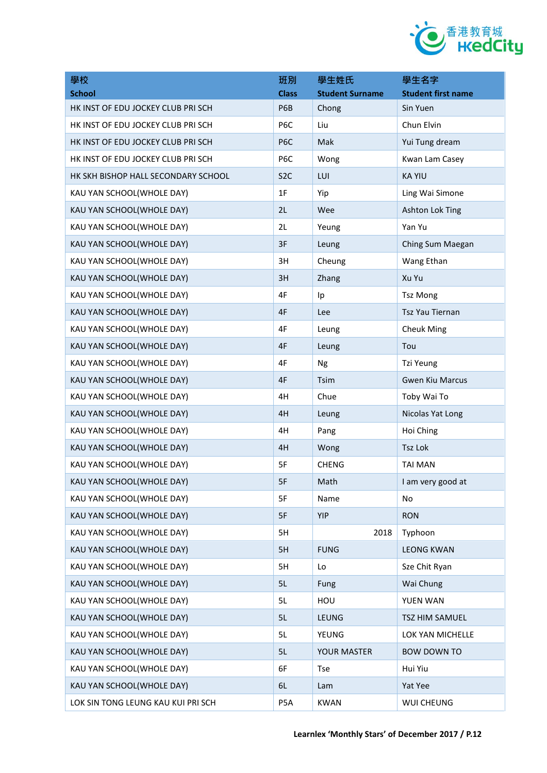

| 學校                                  | 班別               | 學生姓氏                   | 學生名字                      |
|-------------------------------------|------------------|------------------------|---------------------------|
| <b>School</b>                       | <b>Class</b>     | <b>Student Surname</b> | <b>Student first name</b> |
| HK INST OF EDU JOCKEY CLUB PRI SCH  | P6B              | Chong                  | Sin Yuen                  |
| HK INST OF EDU JOCKEY CLUB PRI SCH  | P6C              | Liu                    | Chun Elvin                |
| HK INST OF EDU JOCKEY CLUB PRI SCH  | P <sub>6</sub> C | Mak                    | Yui Tung dream            |
| HK INST OF EDU JOCKEY CLUB PRI SCH  | P6C              | Wong                   | Kwan Lam Casey            |
| HK SKH BISHOP HALL SECONDARY SCHOOL | S <sub>2</sub> C | LUI                    | <b>KA YIU</b>             |
| KAU YAN SCHOOL(WHOLE DAY)           | 1F               | Yip                    | Ling Wai Simone           |
| KAU YAN SCHOOL(WHOLE DAY)           | 2L               | Wee                    | Ashton Lok Ting           |
| KAU YAN SCHOOL(WHOLE DAY)           | 2L               | Yeung                  | Yan Yu                    |
| KAU YAN SCHOOL(WHOLE DAY)           | 3F               | Leung                  | Ching Sum Maegan          |
| KAU YAN SCHOOL(WHOLE DAY)           | 3H               | Cheung                 | Wang Ethan                |
| KAU YAN SCHOOL(WHOLE DAY)           | 3H               | Zhang                  | Xu Yu                     |
| KAU YAN SCHOOL(WHOLE DAY)           | 4F               | Ip                     | <b>Tsz Mong</b>           |
| KAU YAN SCHOOL(WHOLE DAY)           | 4F               | Lee                    | <b>Tsz Yau Tiernan</b>    |
| KAU YAN SCHOOL(WHOLE DAY)           | 4F               | Leung                  | <b>Cheuk Ming</b>         |
| KAU YAN SCHOOL(WHOLE DAY)           | 4F               | Leung                  | Tou                       |
| KAU YAN SCHOOL(WHOLE DAY)           | 4F               | Ng                     | Tzi Yeung                 |
| KAU YAN SCHOOL(WHOLE DAY)           | 4F               | <b>Tsim</b>            | <b>Gwen Kiu Marcus</b>    |
| KAU YAN SCHOOL(WHOLE DAY)           | 4H               | Chue                   | Toby Wai To               |
| KAU YAN SCHOOL(WHOLE DAY)           | 4H               | Leung                  | Nicolas Yat Long          |
| KAU YAN SCHOOL(WHOLE DAY)           | 4H               | Pang                   | Hoi Ching                 |
| KAU YAN SCHOOL(WHOLE DAY)           | 4H               | Wong                   | Tsz Lok                   |
| KAU YAN SCHOOL(WHOLE DAY)           | 5F               | <b>CHENG</b>           | <b>TAI MAN</b>            |
| KAU YAN SCHOOL(WHOLE DAY)           | 5F               | Math                   | I am very good at         |
| KAU YAN SCHOOL(WHOLE DAY)           | 5F               | Name                   | No                        |
| KAU YAN SCHOOL(WHOLE DAY)           | 5F               | <b>YIP</b>             | <b>RON</b>                |
| KAU YAN SCHOOL(WHOLE DAY)           | 5H               | 2018                   | Typhoon                   |
| KAU YAN SCHOOL(WHOLE DAY)           | 5H               | <b>FUNG</b>            | <b>LEONG KWAN</b>         |
| KAU YAN SCHOOL(WHOLE DAY)           | 5H               | Lo                     | Sze Chit Ryan             |
| KAU YAN SCHOOL(WHOLE DAY)           | 5L               | Fung                   | Wai Chung                 |
| KAU YAN SCHOOL(WHOLE DAY)           | 5L               | HOU                    | YUEN WAN                  |
| KAU YAN SCHOOL(WHOLE DAY)           | 5L               | <b>LEUNG</b>           | TSZ HIM SAMUEL            |
| KAU YAN SCHOOL(WHOLE DAY)           | 5L               | <b>YEUNG</b>           | LOK YAN MICHELLE          |
| KAU YAN SCHOOL(WHOLE DAY)           | 5L               | YOUR MASTER            | <b>BOW DOWN TO</b>        |
| KAU YAN SCHOOL(WHOLE DAY)           | 6F               | <b>Tse</b>             | Hui Yiu                   |
| KAU YAN SCHOOL(WHOLE DAY)           | 6L               | Lam                    | Yat Yee                   |
| LOK SIN TONG LEUNG KAU KUI PRI SCH  | P5A              | <b>KWAN</b>            | WUI CHEUNG                |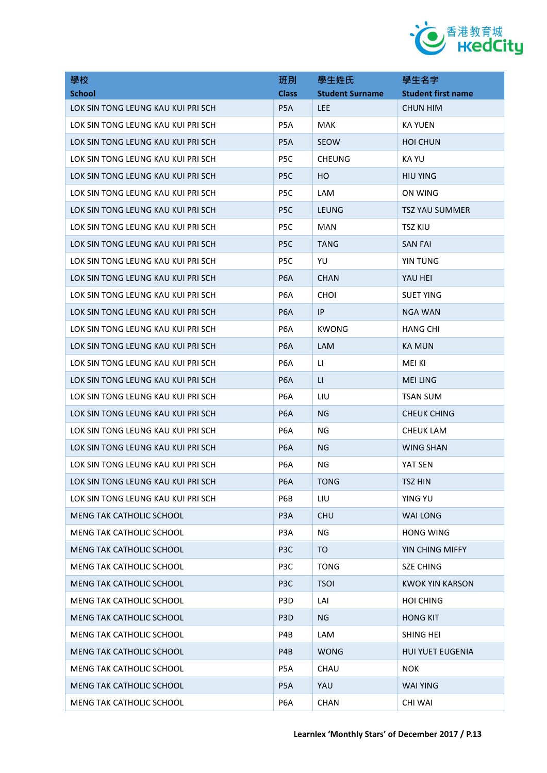

| 學校                                 | 班別               | 學生姓氏                   | 學生名字                      |
|------------------------------------|------------------|------------------------|---------------------------|
| <b>School</b>                      | <b>Class</b>     | <b>Student Surname</b> | <b>Student first name</b> |
| LOK SIN TONG LEUNG KAU KUI PRI SCH | P <sub>5</sub> A | <b>LEE</b>             | <b>CHUN HIM</b>           |
| LOK SIN TONG LEUNG KAU KUI PRI SCH | P5A              | MAK                    | <b>KA YUEN</b>            |
| LOK SIN TONG LEUNG KAU KUI PRI SCH | P <sub>5</sub> A | <b>SEOW</b>            | <b>HOI CHUN</b>           |
| LOK SIN TONG LEUNG KAU KUI PRI SCH | P <sub>5</sub> C | <b>CHEUNG</b>          | KA YU                     |
| LOK SIN TONG LEUNG KAU KUI PRI SCH | P <sub>5</sub> C | HO.                    | <b>HIU YING</b>           |
| LOK SIN TONG LEUNG KAU KUI PRI SCH | P <sub>5</sub> C | <b>LAM</b>             | ON WING                   |
| LOK SIN TONG LEUNG KAU KUI PRI SCH | P <sub>5</sub> C | LEUNG                  | <b>TSZ YAU SUMMER</b>     |
| LOK SIN TONG LEUNG KAU KUI PRI SCH | P <sub>5</sub> C | <b>MAN</b>             | <b>TSZ KIU</b>            |
| LOK SIN TONG LEUNG KAU KUI PRI SCH | P <sub>5</sub> C | <b>TANG</b>            | <b>SAN FAI</b>            |
| LOK SIN TONG LEUNG KAU KUI PRI SCH | P <sub>5</sub> C | YU                     | YIN TUNG                  |
| LOK SIN TONG LEUNG KAU KUI PRI SCH | P <sub>6</sub> A | <b>CHAN</b>            | YAU HEI                   |
| LOK SIN TONG LEUNG KAU KUI PRI SCH | P <sub>6</sub> A | <b>CHOI</b>            | <b>SUET YING</b>          |
| LOK SIN TONG LEUNG KAU KUI PRI SCH | <b>P6A</b>       | IP                     | <b>NGA WAN</b>            |
| LOK SIN TONG LEUNG KAU KUI PRI SCH | P6A              | <b>KWONG</b>           | <b>HANG CHI</b>           |
| LOK SIN TONG LEUNG KAU KUI PRI SCH | P <sub>6</sub> A | LAM                    | <b>KA MUN</b>             |
| LOK SIN TONG LEUNG KAU KUI PRI SCH | P <sub>6</sub> A | $\mathsf{H}$           | MEI KI                    |
| LOK SIN TONG LEUNG KAU KUI PRI SCH | <b>P6A</b>       | $\mathsf{H}$           | <b>MEI LING</b>           |
| LOK SIN TONG LEUNG KAU KUI PRI SCH | P <sub>6</sub> A | LIU                    | <b>TSAN SUM</b>           |
| LOK SIN TONG LEUNG KAU KUI PRI SCH | <b>P6A</b>       | NG                     | <b>CHEUK CHING</b>        |
| LOK SIN TONG LEUNG KAU KUI PRI SCH | P <sub>6</sub> A | ΝG                     | <b>CHEUK LAM</b>          |
| LOK SIN TONG LEUNG KAU KUI PRI SCH | P <sub>6</sub> A | <b>NG</b>              | <b>WING SHAN</b>          |
| LOK SIN TONG LEUNG KAU KUI PRI SCH | P <sub>6</sub> A | ΝG                     | YAT SEN                   |
| LOK SIN TONG LEUNG KAU KUI PRI SCH | P <sub>6</sub> A | <b>TONG</b>            | TSZ HIN                   |
| LOK SIN TONG LEUNG KAU KUI PRI SCH | P6B              | LIU                    | YING YU                   |
| MENG TAK CATHOLIC SCHOOL           | P <sub>3</sub> A | <b>CHU</b>             | <b>WAI LONG</b>           |
| <b>MENG TAK CATHOLIC SCHOOL</b>    | P <sub>3</sub> A | ΝG                     | <b>HONG WING</b>          |
| <b>MENG TAK CATHOLIC SCHOOL</b>    | P <sub>3</sub> C | TO                     | YIN CHING MIFFY           |
| <b>MENG TAK CATHOLIC SCHOOL</b>    | P <sub>3</sub> C | <b>TONG</b>            | <b>SZE CHING</b>          |
| <b>MENG TAK CATHOLIC SCHOOL</b>    | P <sub>3</sub> C | <b>TSOI</b>            | <b>KWOK YIN KARSON</b>    |
| <b>MENG TAK CATHOLIC SCHOOL</b>    | P <sub>3</sub> D | LAI                    | <b>HOI CHING</b>          |
| <b>MENG TAK CATHOLIC SCHOOL</b>    | P <sub>3</sub> D | NG.                    | <b>HONG KIT</b>           |
| <b>MENG TAK CATHOLIC SCHOOL</b>    | P4B              | LAM                    | SHING HEI                 |
| <b>MENG TAK CATHOLIC SCHOOL</b>    | P4B              | <b>WONG</b>            | <b>HUI YUET EUGENIA</b>   |
| <b>MENG TAK CATHOLIC SCHOOL</b>    | P5A              | CHAU                   | <b>NOK</b>                |
| <b>MENG TAK CATHOLIC SCHOOL</b>    | P <sub>5</sub> A | YAU                    | <b>WAI YING</b>           |
| <b>MENG TAK CATHOLIC SCHOOL</b>    | P <sub>6</sub> A | <b>CHAN</b>            | <b>CHI WAI</b>            |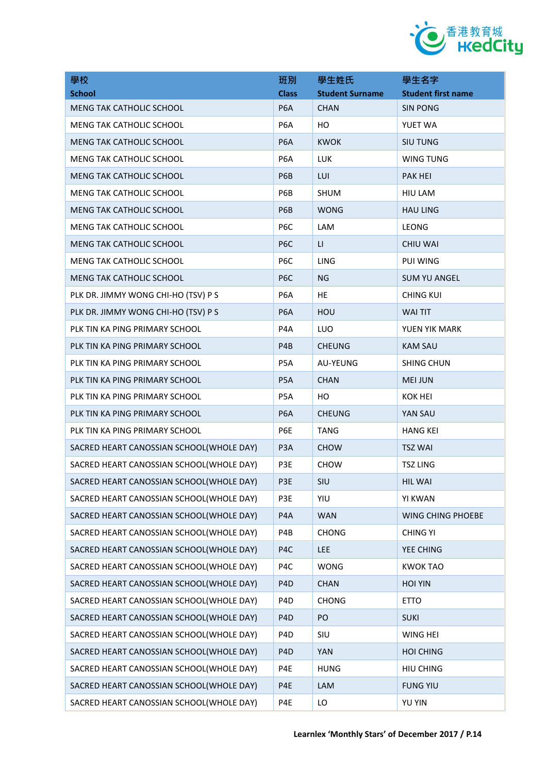

| 學校                                       | 班別               | 學生姓氏                   | 學生名字                      |
|------------------------------------------|------------------|------------------------|---------------------------|
| <b>School</b>                            | <b>Class</b>     | <b>Student Surname</b> | <b>Student first name</b> |
| <b>MENG TAK CATHOLIC SCHOOL</b>          | P <sub>6</sub> A | <b>CHAN</b>            | <b>SIN PONG</b>           |
| MENG TAK CATHOLIC SCHOOL                 | P <sub>6</sub> A | HO                     | YUET WA                   |
| <b>MENG TAK CATHOLIC SCHOOL</b>          | P <sub>6</sub> A | <b>KWOK</b>            | <b>SIU TUNG</b>           |
| MENG TAK CATHOLIC SCHOOL                 | P <sub>6</sub> A | <b>LUK</b>             | <b>WING TUNG</b>          |
| <b>MENG TAK CATHOLIC SCHOOL</b>          | P6B              | LUI                    | <b>PAK HEI</b>            |
| MENG TAK CATHOLIC SCHOOL                 | P6B              | <b>SHUM</b>            | <b>HIU LAM</b>            |
| <b>MENG TAK CATHOLIC SCHOOL</b>          | P6B              | <b>WONG</b>            | <b>HAU LING</b>           |
| MENG TAK CATHOLIC SCHOOL                 | P <sub>6</sub> C | LAM                    | <b>LEONG</b>              |
| MENG TAK CATHOLIC SCHOOL                 | P <sub>6</sub> C | LI.                    | <b>CHIU WAI</b>           |
| <b>MENG TAK CATHOLIC SCHOOL</b>          | P <sub>6</sub> C | <b>LING</b>            | PUI WING                  |
| <b>MENG TAK CATHOLIC SCHOOL</b>          | P <sub>6</sub> C | NG                     | <b>SUM YU ANGEL</b>       |
| PLK DR. JIMMY WONG CHI-HO (TSV) P S      | P6A              | HE                     | <b>CHING KUI</b>          |
| PLK DR. JIMMY WONG CHI-HO (TSV) P S      | P <sub>6</sub> A | HOU                    | <b>WAI TIT</b>            |
| PLK TIN KA PING PRIMARY SCHOOL           | P <sub>4</sub> A | LUO                    | YUEN YIK MARK             |
| PLK TIN KA PING PRIMARY SCHOOL           | P4B              | <b>CHEUNG</b>          | <b>KAM SAU</b>            |
| PLK TIN KA PING PRIMARY SCHOOL           | P <sub>5</sub> A | <b>AU-YEUNG</b>        | <b>SHING CHUN</b>         |
| PLK TIN KA PING PRIMARY SCHOOL           | P <sub>5</sub> A | <b>CHAN</b>            | <b>MEI JUN</b>            |
| PLK TIN KA PING PRIMARY SCHOOL           | P5A              | HO                     | <b>KOK HEI</b>            |
| PLK TIN KA PING PRIMARY SCHOOL           | P <sub>6</sub> A | <b>CHEUNG</b>          | YAN SAU                   |
| PLK TIN KA PING PRIMARY SCHOOL           | P6E              | <b>TANG</b>            | <b>HANG KEI</b>           |
| SACRED HEART CANOSSIAN SCHOOL(WHOLE DAY) | P <sub>3</sub> A | <b>CHOW</b>            | <b>TSZ WAI</b>            |
| SACRED HEART CANOSSIAN SCHOOL(WHOLE DAY) | P3E              | <b>CHOW</b>            | <b>TSZ LING</b>           |
| SACRED HEART CANOSSIAN SCHOOL(WHOLE DAY) | P3E              | SIU                    | <b>HIL WAI</b>            |
| SACRED HEART CANOSSIAN SCHOOL(WHOLE DAY) | P3E              | YIU                    | <b>YI KWAN</b>            |
| SACRED HEART CANOSSIAN SCHOOL(WHOLE DAY) | P4A              | <b>WAN</b>             | WING CHING PHOEBE         |
| SACRED HEART CANOSSIAN SCHOOL(WHOLE DAY) | P4B              | <b>CHONG</b>           | <b>CHING YI</b>           |
| SACRED HEART CANOSSIAN SCHOOL(WHOLE DAY) | P4C              | LEE                    | YEE CHING                 |
| SACRED HEART CANOSSIAN SCHOOL(WHOLE DAY) | P4C              | <b>WONG</b>            | <b>KWOK TAO</b>           |
| SACRED HEART CANOSSIAN SCHOOL(WHOLE DAY) | P <sub>4</sub> D | <b>CHAN</b>            | <b>HOI YIN</b>            |
| SACRED HEART CANOSSIAN SCHOOL(WHOLE DAY) | P <sub>4</sub> D | <b>CHONG</b>           | <b>ETTO</b>               |
| SACRED HEART CANOSSIAN SCHOOL(WHOLE DAY) | P <sub>4</sub> D | PO                     | <b>SUKI</b>               |
| SACRED HEART CANOSSIAN SCHOOL(WHOLE DAY) | P <sub>4</sub> D | SIU                    | WING HEI                  |
| SACRED HEART CANOSSIAN SCHOOL(WHOLE DAY) | P <sub>4</sub> D | <b>YAN</b>             | <b>HOI CHING</b>          |
| SACRED HEART CANOSSIAN SCHOOL(WHOLE DAY) | P4E              | <b>HUNG</b>            | HIU CHING                 |
| SACRED HEART CANOSSIAN SCHOOL(WHOLE DAY) | P4E              | LAM                    | <b>FUNG YIU</b>           |
| SACRED HEART CANOSSIAN SCHOOL(WHOLE DAY) | P4E              | LO                     | YU YIN                    |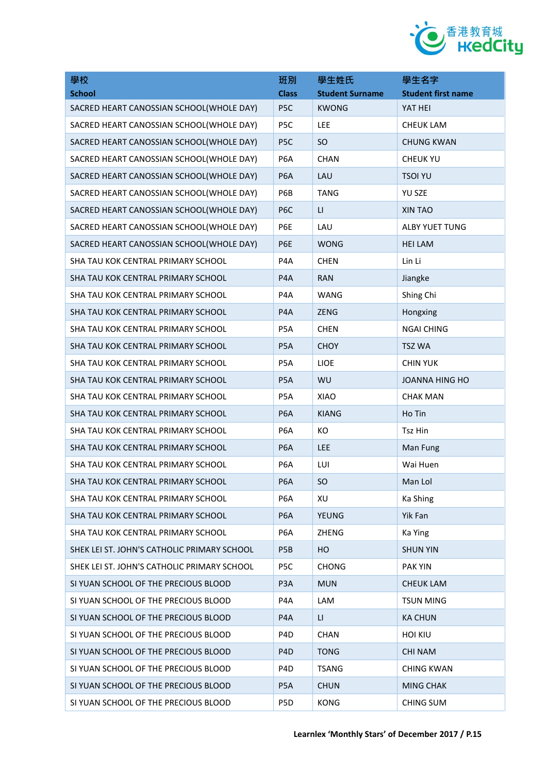

| 學校                                          | 班別               | 學生姓氏                    | 學生名字                      |
|---------------------------------------------|------------------|-------------------------|---------------------------|
| <b>School</b>                               | <b>Class</b>     | <b>Student Surname</b>  | <b>Student first name</b> |
| SACRED HEART CANOSSIAN SCHOOL(WHOLE DAY)    | P <sub>5</sub> C | <b>KWONG</b>            | YAT HEI                   |
| SACRED HEART CANOSSIAN SCHOOL(WHOLE DAY)    | P5C              | LEE                     | <b>CHEUK LAM</b>          |
| SACRED HEART CANOSSIAN SCHOOL(WHOLE DAY)    | P <sub>5</sub> C | <b>SO</b>               | <b>CHUNG KWAN</b>         |
| SACRED HEART CANOSSIAN SCHOOL(WHOLE DAY)    | P <sub>6</sub> A | <b>CHAN</b>             | <b>CHEUK YU</b>           |
| SACRED HEART CANOSSIAN SCHOOL(WHOLE DAY)    | P <sub>6</sub> A | LAU                     | <b>TSOI YU</b>            |
| SACRED HEART CANOSSIAN SCHOOL(WHOLE DAY)    | P6B              | <b>TANG</b>             | YU SZE                    |
| SACRED HEART CANOSSIAN SCHOOL(WHOLE DAY)    | P <sub>6</sub> C | $\mathsf{L}\mathsf{L}$  | XIN TAO                   |
| SACRED HEART CANOSSIAN SCHOOL(WHOLE DAY)    | P6E              | LAU                     | ALBY YUET TUNG            |
| SACRED HEART CANOSSIAN SCHOOL(WHOLE DAY)    | P6E              | <b>WONG</b>             | <b>HEI LAM</b>            |
| SHA TAU KOK CENTRAL PRIMARY SCHOOL          | P <sub>4</sub> A | <b>CHEN</b>             | Lin Li                    |
| SHA TAU KOK CENTRAL PRIMARY SCHOOL          | P4A              | <b>RAN</b>              | Jiangke                   |
| SHA TAU KOK CENTRAL PRIMARY SCHOOL          | P4A              | WANG                    | Shing Chi                 |
| SHA TAU KOK CENTRAL PRIMARY SCHOOL          | P4A              | <b>ZENG</b>             | Hongxing                  |
| SHA TAU KOK CENTRAL PRIMARY SCHOOL          | P <sub>5</sub> A | <b>CHEN</b>             | <b>NGAI CHING</b>         |
| SHA TAU KOK CENTRAL PRIMARY SCHOOL          | P <sub>5</sub> A | <b>CHOY</b>             | <b>TSZ WA</b>             |
| SHA TAU KOK CENTRAL PRIMARY SCHOOL          | P <sub>5</sub> A | <b>LIOE</b>             | <b>CHIN YUK</b>           |
| SHA TAU KOK CENTRAL PRIMARY SCHOOL          | P <sub>5</sub> A | WU                      | <b>JOANNA HING HO</b>     |
| SHA TAU KOK CENTRAL PRIMARY SCHOOL          | P <sub>5</sub> A | XIAO                    | <b>CHAK MAN</b>           |
| SHA TAU KOK CENTRAL PRIMARY SCHOOL          | P <sub>6</sub> A | <b>KIANG</b>            | Ho Tin                    |
| SHA TAU KOK CENTRAL PRIMARY SCHOOL          | P <sub>6</sub> A | KO                      | Tsz Hin                   |
| SHA TAU KOK CENTRAL PRIMARY SCHOOL          | P <sub>6</sub> A | <b>LEE</b>              | Man Fung                  |
| SHA TAU KOK CENTRAL PRIMARY SCHOOL          | P <sub>6</sub> A | LUI                     | Wai Huen                  |
| SHA TAU KOK CENTRAL PRIMARY SCHOOL          | P <sub>6</sub> A | <b>SO</b>               | Man Lol                   |
| SHA TAU KOK CENTRAL PRIMARY SCHOOL          | P <sub>6</sub> A | XU                      | Ka Shing                  |
| SHA TAU KOK CENTRAL PRIMARY SCHOOL          | P <sub>6</sub> A | <b>YEUNG</b>            | Yik Fan                   |
| SHA TAU KOK CENTRAL PRIMARY SCHOOL          | P <sub>6</sub> A | <b>ZHENG</b>            | Ka Ying                   |
| SHEK LEI ST. JOHN'S CATHOLIC PRIMARY SCHOOL | P <sub>5</sub> B | HO                      | <b>SHUN YIN</b>           |
| SHEK LEI ST. JOHN'S CATHOLIC PRIMARY SCHOOL | P5C              | <b>CHONG</b>            | <b>PAK YIN</b>            |
| SI YUAN SCHOOL OF THE PRECIOUS BLOOD        | P <sub>3</sub> A | <b>MUN</b>              | <b>CHEUK LAM</b>          |
| SI YUAN SCHOOL OF THE PRECIOUS BLOOD        | P4A              | LAM                     | <b>TSUN MING</b>          |
| SI YUAN SCHOOL OF THE PRECIOUS BLOOD        | P <sub>4</sub> A | $\mathsf{L}\mathsf{L}%$ | <b>KA CHUN</b>            |
| SI YUAN SCHOOL OF THE PRECIOUS BLOOD        | P <sub>4</sub> D | <b>CHAN</b>             | <b>HOI KIU</b>            |
| SI YUAN SCHOOL OF THE PRECIOUS BLOOD        | P <sub>4</sub> D | <b>TONG</b>             | <b>CHI NAM</b>            |
| SI YUAN SCHOOL OF THE PRECIOUS BLOOD        | P <sub>4</sub> D | <b>TSANG</b>            | <b>CHING KWAN</b>         |
| SI YUAN SCHOOL OF THE PRECIOUS BLOOD        | P <sub>5</sub> A | <b>CHUN</b>             | <b>MING CHAK</b>          |
| SI YUAN SCHOOL OF THE PRECIOUS BLOOD        | P5D              | <b>KONG</b>             | CHING SUM                 |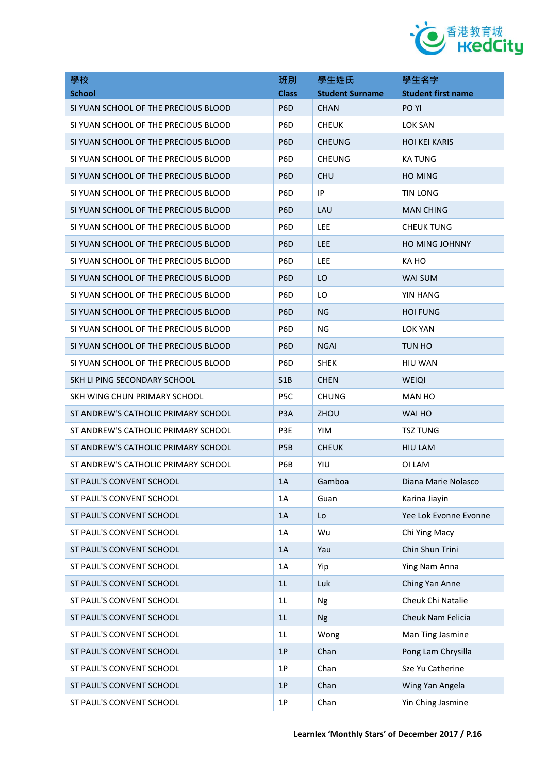

| 學校                                   | 班別               | 學生姓氏                   | 學生名字                      |
|--------------------------------------|------------------|------------------------|---------------------------|
| <b>School</b>                        | <b>Class</b>     | <b>Student Surname</b> | <b>Student first name</b> |
| SI YUAN SCHOOL OF THE PRECIOUS BLOOD | P <sub>6</sub> D | <b>CHAN</b>            | PO YI                     |
| SI YUAN SCHOOL OF THE PRECIOUS BLOOD | P <sub>6</sub> D | <b>CHEUK</b>           | <b>LOK SAN</b>            |
| SI YUAN SCHOOL OF THE PRECIOUS BLOOD | P <sub>6</sub> D | <b>CHEUNG</b>          | <b>HOI KEI KARIS</b>      |
| SI YUAN SCHOOL OF THE PRECIOUS BLOOD | P <sub>6</sub> D | <b>CHEUNG</b>          | <b>KA TUNG</b>            |
| SI YUAN SCHOOL OF THE PRECIOUS BLOOD | P <sub>6</sub> D | <b>CHU</b>             | <b>HO MING</b>            |
| SI YUAN SCHOOL OF THE PRECIOUS BLOOD | P <sub>6</sub> D | IP                     | TIN LONG                  |
| SI YUAN SCHOOL OF THE PRECIOUS BLOOD | P <sub>6</sub> D | LAU                    | <b>MAN CHING</b>          |
| SI YUAN SCHOOL OF THE PRECIOUS BLOOD | P <sub>6</sub> D | <b>LEE</b>             | <b>CHEUK TUNG</b>         |
| SI YUAN SCHOOL OF THE PRECIOUS BLOOD | P6D              | <b>LEE</b>             | <b>HO MING JOHNNY</b>     |
| SI YUAN SCHOOL OF THE PRECIOUS BLOOD | P <sub>6</sub> D | <b>LEE</b>             | KA HO                     |
| SI YUAN SCHOOL OF THE PRECIOUS BLOOD | P <sub>6</sub> D | LO                     | <b>WAI SUM</b>            |
| SI YUAN SCHOOL OF THE PRECIOUS BLOOD | P <sub>6</sub> D | LO                     | <b>YIN HANG</b>           |
| SI YUAN SCHOOL OF THE PRECIOUS BLOOD | P <sub>6</sub> D | NG                     | <b>HOI FUNG</b>           |
| SI YUAN SCHOOL OF THE PRECIOUS BLOOD | P6D              | <b>NG</b>              | <b>LOK YAN</b>            |
| SI YUAN SCHOOL OF THE PRECIOUS BLOOD | P <sub>6</sub> D | <b>NGAI</b>            | TUN HO                    |
| SI YUAN SCHOOL OF THE PRECIOUS BLOOD | P <sub>6</sub> D | <b>SHEK</b>            | <b>HIU WAN</b>            |
| SKH LI PING SECONDARY SCHOOL         | S1B              | <b>CHEN</b>            | <b>WEIQI</b>              |
| SKH WING CHUN PRIMARY SCHOOL         | P <sub>5</sub> C | <b>CHUNG</b>           | <b>MAN HO</b>             |
| ST ANDREW'S CATHOLIC PRIMARY SCHOOL  | P <sub>3</sub> A | ZHOU                   | WAI HO                    |
| ST ANDREW'S CATHOLIC PRIMARY SCHOOL  | P3E              | <b>YIM</b>             | TSZ TUNG                  |
| ST ANDREW'S CATHOLIC PRIMARY SCHOOL  | P <sub>5</sub> B | <b>CHEUK</b>           | <b>HIU LAM</b>            |
| ST ANDREW'S CATHOLIC PRIMARY SCHOOL  | P6B              | YIU                    | OI LAM                    |
| ST PAUL'S CONVENT SCHOOL             | 1A               | Gamboa                 | Diana Marie Nolasco       |
| ST PAUL'S CONVENT SCHOOL             | 1A               | Guan                   | Karina Jiayin             |
| ST PAUL'S CONVENT SCHOOL             | 1A               | Lo                     | Yee Lok Evonne Evonne     |
| ST PAUL'S CONVENT SCHOOL             | 1A               | Wu                     | Chi Ying Macy             |
| ST PAUL'S CONVENT SCHOOL             | 1A               | Yau                    | Chin Shun Trini           |
| ST PAUL'S CONVENT SCHOOL             | 1A               | Yip                    | Ying Nam Anna             |
| ST PAUL'S CONVENT SCHOOL             | 1L               | Luk                    | Ching Yan Anne            |
| ST PAUL'S CONVENT SCHOOL             | 1L               | <b>Ng</b>              | Cheuk Chi Natalie         |
| ST PAUL'S CONVENT SCHOOL             | 1L               | <b>Ng</b>              | Cheuk Nam Felicia         |
| ST PAUL'S CONVENT SCHOOL             | 1L               | Wong                   | Man Ting Jasmine          |
| ST PAUL'S CONVENT SCHOOL             | 1P               | Chan                   | Pong Lam Chrysilla        |
| ST PAUL'S CONVENT SCHOOL             | 1P               | Chan                   | Sze Yu Catherine          |
| ST PAUL'S CONVENT SCHOOL             | 1P               | Chan                   | Wing Yan Angela           |
| ST PAUL'S CONVENT SCHOOL             | 1P               | Chan                   | Yin Ching Jasmine         |
|                                      |                  |                        |                           |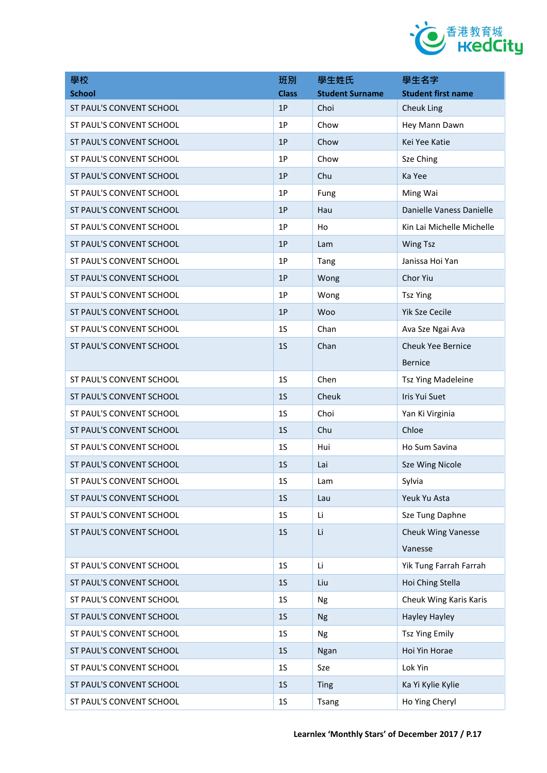

| <b>School</b><br><b>Class</b><br><b>Student Surname</b><br><b>Student first name</b><br>1P<br>Choi<br>ST PAUL'S CONVENT SCHOOL<br>Cheuk Ling<br>Chow<br>Hey Mann Dawn<br>ST PAUL'S CONVENT SCHOOL<br>1P<br>1P<br>ST PAUL'S CONVENT SCHOOL<br>Chow<br>Kei Yee Katie<br>1P<br>Chow<br>ST PAUL'S CONVENT SCHOOL<br>Sze Ching<br>ST PAUL'S CONVENT SCHOOL<br>1P<br>Chu<br>Ka Yee<br>1P<br>Ming Wai<br>ST PAUL'S CONVENT SCHOOL<br>Fung<br>Danielle Vaness Danielle<br>ST PAUL'S CONVENT SCHOOL<br>1P<br>Hau<br>Kin Lai Michelle Michelle<br>ST PAUL'S CONVENT SCHOOL<br>1P<br>Ho<br>ST PAUL'S CONVENT SCHOOL<br>1P<br><b>Wing Tsz</b><br>Lam<br>ST PAUL'S CONVENT SCHOOL<br>1P<br>Janissa Hoi Yan<br>Tang<br>ST PAUL'S CONVENT SCHOOL<br>1P<br>Chor Yiu<br>Wong<br>1P<br>ST PAUL'S CONVENT SCHOOL<br>Wong<br><b>Tsz Ying</b><br>1P<br><b>Yik Sze Cecile</b><br>ST PAUL'S CONVENT SCHOOL<br>Woo<br>1 <sub>S</sub><br>ST PAUL'S CONVENT SCHOOL<br>Chan<br>Ava Sze Ngai Ava<br>1 <sub>S</sub><br>Chan<br><b>Cheuk Yee Bernice</b><br>ST PAUL'S CONVENT SCHOOL<br><b>Bernice</b><br>1 <sub>S</sub><br>Chen<br>ST PAUL'S CONVENT SCHOOL<br><b>Tsz Ying Madeleine</b><br>ST PAUL'S CONVENT SCHOOL<br>1 <sub>S</sub><br>Cheuk<br>Iris Yui Suet<br>1 <sub>S</sub><br>Choi<br>ST PAUL'S CONVENT SCHOOL<br>Yan Ki Virginia<br>ST PAUL'S CONVENT SCHOOL<br>1 <sub>S</sub><br>Chu<br>Chloe<br>Ho Sum Savina<br>ST PAUL'S CONVENT SCHOOL<br>1 <sub>S</sub><br>Hui<br>ST PAUL'S CONVENT SCHOOL<br>1 <sub>S</sub><br>Sze Wing Nicole<br>Lai<br>1S<br>Sylvia<br>ST PAUL'S CONVENT SCHOOL<br>Lam<br>ST PAUL'S CONVENT SCHOOL<br>1 <sub>S</sub><br>Yeuk Yu Asta<br>Lau<br>Sze Tung Daphne<br>ST PAUL'S CONVENT SCHOOL<br>1 <sub>S</sub><br>Li | 學校                       | 班別             | 學生姓氏 | 學生名字                      |
|-------------------------------------------------------------------------------------------------------------------------------------------------------------------------------------------------------------------------------------------------------------------------------------------------------------------------------------------------------------------------------------------------------------------------------------------------------------------------------------------------------------------------------------------------------------------------------------------------------------------------------------------------------------------------------------------------------------------------------------------------------------------------------------------------------------------------------------------------------------------------------------------------------------------------------------------------------------------------------------------------------------------------------------------------------------------------------------------------------------------------------------------------------------------------------------------------------------------------------------------------------------------------------------------------------------------------------------------------------------------------------------------------------------------------------------------------------------------------------------------------------------------------------------------------------------------------------------------------------------------------------------------------------------------------------------------------------------------------|--------------------------|----------------|------|---------------------------|
|                                                                                                                                                                                                                                                                                                                                                                                                                                                                                                                                                                                                                                                                                                                                                                                                                                                                                                                                                                                                                                                                                                                                                                                                                                                                                                                                                                                                                                                                                                                                                                                                                                                                                                                         |                          |                |      |                           |
|                                                                                                                                                                                                                                                                                                                                                                                                                                                                                                                                                                                                                                                                                                                                                                                                                                                                                                                                                                                                                                                                                                                                                                                                                                                                                                                                                                                                                                                                                                                                                                                                                                                                                                                         |                          |                |      |                           |
|                                                                                                                                                                                                                                                                                                                                                                                                                                                                                                                                                                                                                                                                                                                                                                                                                                                                                                                                                                                                                                                                                                                                                                                                                                                                                                                                                                                                                                                                                                                                                                                                                                                                                                                         |                          |                |      |                           |
|                                                                                                                                                                                                                                                                                                                                                                                                                                                                                                                                                                                                                                                                                                                                                                                                                                                                                                                                                                                                                                                                                                                                                                                                                                                                                                                                                                                                                                                                                                                                                                                                                                                                                                                         |                          |                |      |                           |
|                                                                                                                                                                                                                                                                                                                                                                                                                                                                                                                                                                                                                                                                                                                                                                                                                                                                                                                                                                                                                                                                                                                                                                                                                                                                                                                                                                                                                                                                                                                                                                                                                                                                                                                         |                          |                |      |                           |
|                                                                                                                                                                                                                                                                                                                                                                                                                                                                                                                                                                                                                                                                                                                                                                                                                                                                                                                                                                                                                                                                                                                                                                                                                                                                                                                                                                                                                                                                                                                                                                                                                                                                                                                         |                          |                |      |                           |
|                                                                                                                                                                                                                                                                                                                                                                                                                                                                                                                                                                                                                                                                                                                                                                                                                                                                                                                                                                                                                                                                                                                                                                                                                                                                                                                                                                                                                                                                                                                                                                                                                                                                                                                         |                          |                |      |                           |
|                                                                                                                                                                                                                                                                                                                                                                                                                                                                                                                                                                                                                                                                                                                                                                                                                                                                                                                                                                                                                                                                                                                                                                                                                                                                                                                                                                                                                                                                                                                                                                                                                                                                                                                         |                          |                |      |                           |
|                                                                                                                                                                                                                                                                                                                                                                                                                                                                                                                                                                                                                                                                                                                                                                                                                                                                                                                                                                                                                                                                                                                                                                                                                                                                                                                                                                                                                                                                                                                                                                                                                                                                                                                         |                          |                |      |                           |
|                                                                                                                                                                                                                                                                                                                                                                                                                                                                                                                                                                                                                                                                                                                                                                                                                                                                                                                                                                                                                                                                                                                                                                                                                                                                                                                                                                                                                                                                                                                                                                                                                                                                                                                         |                          |                |      |                           |
|                                                                                                                                                                                                                                                                                                                                                                                                                                                                                                                                                                                                                                                                                                                                                                                                                                                                                                                                                                                                                                                                                                                                                                                                                                                                                                                                                                                                                                                                                                                                                                                                                                                                                                                         |                          |                |      |                           |
|                                                                                                                                                                                                                                                                                                                                                                                                                                                                                                                                                                                                                                                                                                                                                                                                                                                                                                                                                                                                                                                                                                                                                                                                                                                                                                                                                                                                                                                                                                                                                                                                                                                                                                                         |                          |                |      |                           |
|                                                                                                                                                                                                                                                                                                                                                                                                                                                                                                                                                                                                                                                                                                                                                                                                                                                                                                                                                                                                                                                                                                                                                                                                                                                                                                                                                                                                                                                                                                                                                                                                                                                                                                                         |                          |                |      |                           |
|                                                                                                                                                                                                                                                                                                                                                                                                                                                                                                                                                                                                                                                                                                                                                                                                                                                                                                                                                                                                                                                                                                                                                                                                                                                                                                                                                                                                                                                                                                                                                                                                                                                                                                                         |                          |                |      |                           |
|                                                                                                                                                                                                                                                                                                                                                                                                                                                                                                                                                                                                                                                                                                                                                                                                                                                                                                                                                                                                                                                                                                                                                                                                                                                                                                                                                                                                                                                                                                                                                                                                                                                                                                                         |                          |                |      |                           |
|                                                                                                                                                                                                                                                                                                                                                                                                                                                                                                                                                                                                                                                                                                                                                                                                                                                                                                                                                                                                                                                                                                                                                                                                                                                                                                                                                                                                                                                                                                                                                                                                                                                                                                                         |                          |                |      |                           |
|                                                                                                                                                                                                                                                                                                                                                                                                                                                                                                                                                                                                                                                                                                                                                                                                                                                                                                                                                                                                                                                                                                                                                                                                                                                                                                                                                                                                                                                                                                                                                                                                                                                                                                                         |                          |                |      |                           |
|                                                                                                                                                                                                                                                                                                                                                                                                                                                                                                                                                                                                                                                                                                                                                                                                                                                                                                                                                                                                                                                                                                                                                                                                                                                                                                                                                                                                                                                                                                                                                                                                                                                                                                                         |                          |                |      |                           |
|                                                                                                                                                                                                                                                                                                                                                                                                                                                                                                                                                                                                                                                                                                                                                                                                                                                                                                                                                                                                                                                                                                                                                                                                                                                                                                                                                                                                                                                                                                                                                                                                                                                                                                                         |                          |                |      |                           |
|                                                                                                                                                                                                                                                                                                                                                                                                                                                                                                                                                                                                                                                                                                                                                                                                                                                                                                                                                                                                                                                                                                                                                                                                                                                                                                                                                                                                                                                                                                                                                                                                                                                                                                                         |                          |                |      |                           |
|                                                                                                                                                                                                                                                                                                                                                                                                                                                                                                                                                                                                                                                                                                                                                                                                                                                                                                                                                                                                                                                                                                                                                                                                                                                                                                                                                                                                                                                                                                                                                                                                                                                                                                                         |                          |                |      |                           |
|                                                                                                                                                                                                                                                                                                                                                                                                                                                                                                                                                                                                                                                                                                                                                                                                                                                                                                                                                                                                                                                                                                                                                                                                                                                                                                                                                                                                                                                                                                                                                                                                                                                                                                                         |                          |                |      |                           |
|                                                                                                                                                                                                                                                                                                                                                                                                                                                                                                                                                                                                                                                                                                                                                                                                                                                                                                                                                                                                                                                                                                                                                                                                                                                                                                                                                                                                                                                                                                                                                                                                                                                                                                                         |                          |                |      |                           |
|                                                                                                                                                                                                                                                                                                                                                                                                                                                                                                                                                                                                                                                                                                                                                                                                                                                                                                                                                                                                                                                                                                                                                                                                                                                                                                                                                                                                                                                                                                                                                                                                                                                                                                                         |                          |                |      |                           |
|                                                                                                                                                                                                                                                                                                                                                                                                                                                                                                                                                                                                                                                                                                                                                                                                                                                                                                                                                                                                                                                                                                                                                                                                                                                                                                                                                                                                                                                                                                                                                                                                                                                                                                                         |                          |                |      |                           |
|                                                                                                                                                                                                                                                                                                                                                                                                                                                                                                                                                                                                                                                                                                                                                                                                                                                                                                                                                                                                                                                                                                                                                                                                                                                                                                                                                                                                                                                                                                                                                                                                                                                                                                                         |                          |                |      |                           |
|                                                                                                                                                                                                                                                                                                                                                                                                                                                                                                                                                                                                                                                                                                                                                                                                                                                                                                                                                                                                                                                                                                                                                                                                                                                                                                                                                                                                                                                                                                                                                                                                                                                                                                                         | ST PAUL'S CONVENT SCHOOL | 1 <sub>S</sub> | Li   | <b>Cheuk Wing Vanesse</b> |
| Vanesse                                                                                                                                                                                                                                                                                                                                                                                                                                                                                                                                                                                                                                                                                                                                                                                                                                                                                                                                                                                                                                                                                                                                                                                                                                                                                                                                                                                                                                                                                                                                                                                                                                                                                                                 |                          |                |      |                           |
| 1 <sub>S</sub><br>Li<br>ST PAUL'S CONVENT SCHOOL<br>Yik Tung Farrah Farrah                                                                                                                                                                                                                                                                                                                                                                                                                                                                                                                                                                                                                                                                                                                                                                                                                                                                                                                                                                                                                                                                                                                                                                                                                                                                                                                                                                                                                                                                                                                                                                                                                                              |                          |                |      |                           |
| 1 <sub>S</sub><br>Hoi Ching Stella<br>ST PAUL'S CONVENT SCHOOL<br>Liu                                                                                                                                                                                                                                                                                                                                                                                                                                                                                                                                                                                                                                                                                                                                                                                                                                                                                                                                                                                                                                                                                                                                                                                                                                                                                                                                                                                                                                                                                                                                                                                                                                                   |                          |                |      |                           |
| ST PAUL'S CONVENT SCHOOL<br>Cheuk Wing Karis Karis<br>1 <sub>S</sub><br>Ng                                                                                                                                                                                                                                                                                                                                                                                                                                                                                                                                                                                                                                                                                                                                                                                                                                                                                                                                                                                                                                                                                                                                                                                                                                                                                                                                                                                                                                                                                                                                                                                                                                              |                          |                |      |                           |
| ST PAUL'S CONVENT SCHOOL<br>1 <sub>S</sub><br><b>Hayley Hayley</b><br><b>Ng</b>                                                                                                                                                                                                                                                                                                                                                                                                                                                                                                                                                                                                                                                                                                                                                                                                                                                                                                                                                                                                                                                                                                                                                                                                                                                                                                                                                                                                                                                                                                                                                                                                                                         |                          |                |      |                           |
| ST PAUL'S CONVENT SCHOOL<br>1 <sub>S</sub><br><b>Tsz Ying Emily</b><br>Ng                                                                                                                                                                                                                                                                                                                                                                                                                                                                                                                                                                                                                                                                                                                                                                                                                                                                                                                                                                                                                                                                                                                                                                                                                                                                                                                                                                                                                                                                                                                                                                                                                                               |                          |                |      |                           |
| ST PAUL'S CONVENT SCHOOL<br>Hoi Yin Horae<br>1 <sub>S</sub><br>Ngan                                                                                                                                                                                                                                                                                                                                                                                                                                                                                                                                                                                                                                                                                                                                                                                                                                                                                                                                                                                                                                                                                                                                                                                                                                                                                                                                                                                                                                                                                                                                                                                                                                                     |                          |                |      |                           |
| Lok Yin<br>ST PAUL'S CONVENT SCHOOL<br>1 <sub>S</sub><br>Sze                                                                                                                                                                                                                                                                                                                                                                                                                                                                                                                                                                                                                                                                                                                                                                                                                                                                                                                                                                                                                                                                                                                                                                                                                                                                                                                                                                                                                                                                                                                                                                                                                                                            |                          |                |      |                           |
| ST PAUL'S CONVENT SCHOOL<br>1 <sub>S</sub><br>Ka Yi Kylie Kylie<br><b>Ting</b>                                                                                                                                                                                                                                                                                                                                                                                                                                                                                                                                                                                                                                                                                                                                                                                                                                                                                                                                                                                                                                                                                                                                                                                                                                                                                                                                                                                                                                                                                                                                                                                                                                          |                          |                |      |                           |
| Ho Ying Cheryl<br>ST PAUL'S CONVENT SCHOOL<br>1 <sub>S</sub><br><b>Tsang</b>                                                                                                                                                                                                                                                                                                                                                                                                                                                                                                                                                                                                                                                                                                                                                                                                                                                                                                                                                                                                                                                                                                                                                                                                                                                                                                                                                                                                                                                                                                                                                                                                                                            |                          |                |      |                           |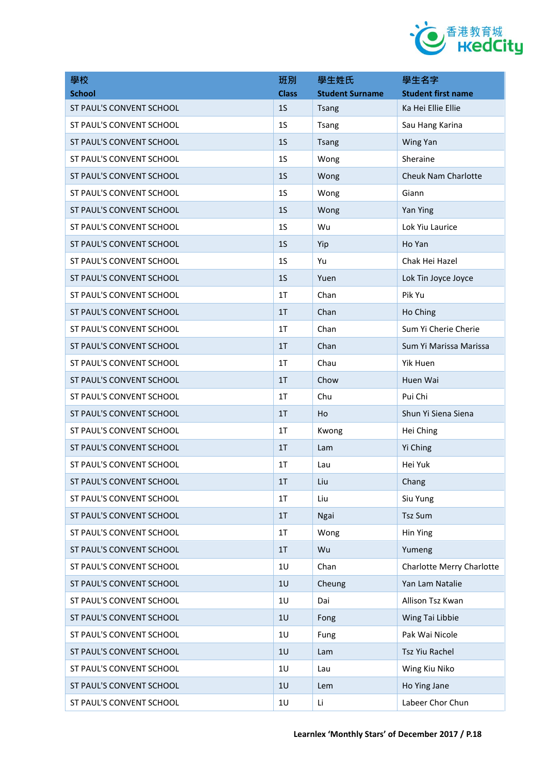

| 學校                       | 班別             | 學生姓氏                   | 學生名字                             |
|--------------------------|----------------|------------------------|----------------------------------|
| <b>School</b>            | <b>Class</b>   | <b>Student Surname</b> | <b>Student first name</b>        |
| ST PAUL'S CONVENT SCHOOL | 1 <sub>S</sub> | <b>Tsang</b>           | Ka Hei Ellie Ellie               |
| ST PAUL'S CONVENT SCHOOL | 1 <sub>S</sub> | <b>Tsang</b>           | Sau Hang Karina                  |
| ST PAUL'S CONVENT SCHOOL | 1 <sub>S</sub> | <b>Tsang</b>           | Wing Yan                         |
| ST PAUL'S CONVENT SCHOOL | 1 <sub>S</sub> | Wong                   | Sheraine                         |
| ST PAUL'S CONVENT SCHOOL | 1 <sub>S</sub> | Wong                   | Cheuk Nam Charlotte              |
| ST PAUL'S CONVENT SCHOOL | 1 <sub>S</sub> | Wong                   | Giann                            |
| ST PAUL'S CONVENT SCHOOL | 1 <sub>S</sub> | Wong                   | Yan Ying                         |
| ST PAUL'S CONVENT SCHOOL | 1 <sub>S</sub> | Wu                     | Lok Yiu Laurice                  |
| ST PAUL'S CONVENT SCHOOL | 1 <sub>S</sub> | Yip                    | Ho Yan                           |
| ST PAUL'S CONVENT SCHOOL | 1 <sub>S</sub> | Yu                     | Chak Hei Hazel                   |
| ST PAUL'S CONVENT SCHOOL | 1 <sub>S</sub> | Yuen                   | Lok Tin Joyce Joyce              |
| ST PAUL'S CONVENT SCHOOL | 1 <sub>T</sub> | Chan                   | Pik Yu                           |
| ST PAUL'S CONVENT SCHOOL | 1T             | Chan                   | Ho Ching                         |
| ST PAUL'S CONVENT SCHOOL | 1 <sub>T</sub> | Chan                   | Sum Yi Cherie Cherie             |
| ST PAUL'S CONVENT SCHOOL | 1T             | Chan                   | Sum Yi Marissa Marissa           |
| ST PAUL'S CONVENT SCHOOL | 1 <sub>T</sub> | Chau                   | Yik Huen                         |
| ST PAUL'S CONVENT SCHOOL | 1T             | Chow                   | Huen Wai                         |
| ST PAUL'S CONVENT SCHOOL | 1 <sub>T</sub> | Chu                    | Pui Chi                          |
| ST PAUL'S CONVENT SCHOOL | 1 <sub>T</sub> | Ho                     | Shun Yi Siena Siena              |
| ST PAUL'S CONVENT SCHOOL | 1 <sub>T</sub> | Kwong                  | Hei Ching                        |
| ST PAUL'S CONVENT SCHOOL | 1 <sub>T</sub> | Lam                    | Yi Ching                         |
| ST PAUL'S CONVENT SCHOOL | 1 <sub>T</sub> | Lau                    | Hei Yuk                          |
| ST PAUL'S CONVENT SCHOOL | 1T             | Liu                    | Chang                            |
| ST PAUL'S CONVENT SCHOOL | 1T             | Liu                    | Siu Yung                         |
| ST PAUL'S CONVENT SCHOOL | 1T             | Ngai                   | <b>Tsz Sum</b>                   |
| ST PAUL'S CONVENT SCHOOL | 1T             | Wong                   | Hin Ying                         |
| ST PAUL'S CONVENT SCHOOL | 1T             | Wu                     | Yumeng                           |
| ST PAUL'S CONVENT SCHOOL | 1U             | Chan                   | <b>Charlotte Merry Charlotte</b> |
| ST PAUL'S CONVENT SCHOOL | 1U             | Cheung                 | Yan Lam Natalie                  |
| ST PAUL'S CONVENT SCHOOL | 1U             | Dai                    | Allison Tsz Kwan                 |
| ST PAUL'S CONVENT SCHOOL | 1U             | Fong                   | Wing Tai Libbie                  |
| ST PAUL'S CONVENT SCHOOL | 1U             | Fung                   | Pak Wai Nicole                   |
| ST PAUL'S CONVENT SCHOOL | 1U             | Lam                    | Tsz Yiu Rachel                   |
| ST PAUL'S CONVENT SCHOOL | 1U             | Lau                    | Wing Kiu Niko                    |
| ST PAUL'S CONVENT SCHOOL | 1U             | Lem                    | Ho Ying Jane                     |
| ST PAUL'S CONVENT SCHOOL | 1U             | Li                     | Labeer Chor Chun                 |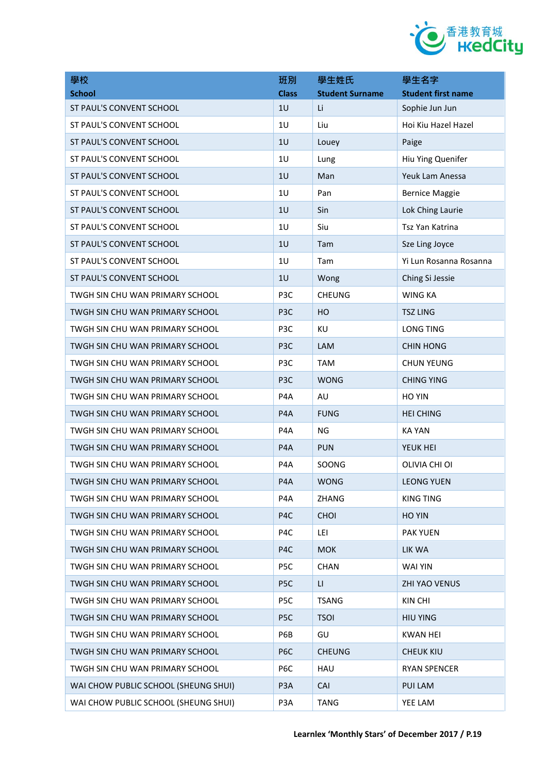

| 學校                                   | 班別               | 學生姓氏                   | 學生名字                      |
|--------------------------------------|------------------|------------------------|---------------------------|
| <b>School</b>                        | <b>Class</b>     | <b>Student Surname</b> | <b>Student first name</b> |
| ST PAUL'S CONVENT SCHOOL             | 1U               | Li                     | Sophie Jun Jun            |
| ST PAUL'S CONVENT SCHOOL             | 1U               | Liu                    | Hoi Kiu Hazel Hazel       |
| ST PAUL'S CONVENT SCHOOL             | 1U               | Louey                  | Paige                     |
| ST PAUL'S CONVENT SCHOOL             | 1U               | Lung                   | Hiu Ying Quenifer         |
| ST PAUL'S CONVENT SCHOOL             | 1U               | Man                    | Yeuk Lam Anessa           |
| ST PAUL'S CONVENT SCHOOL             | 1U               | Pan                    | <b>Bernice Maggie</b>     |
| ST PAUL'S CONVENT SCHOOL             | 1U               | Sin                    | Lok Ching Laurie          |
| ST PAUL'S CONVENT SCHOOL             | 1U               | Siu                    | Tsz Yan Katrina           |
| ST PAUL'S CONVENT SCHOOL             | 1U               | Tam                    | Sze Ling Joyce            |
| ST PAUL'S CONVENT SCHOOL             | 1U               | Tam                    | Yi Lun Rosanna Rosanna    |
| ST PAUL'S CONVENT SCHOOL             | 1U               | Wong                   | Ching Si Jessie           |
| TWGH SIN CHU WAN PRIMARY SCHOOL      | P <sub>3</sub> C | <b>CHEUNG</b>          | <b>WING KA</b>            |
| TWGH SIN CHU WAN PRIMARY SCHOOL      | P <sub>3</sub> C | HO                     | <b>TSZ LING</b>           |
| TWGH SIN CHU WAN PRIMARY SCHOOL      | P <sub>3</sub> C | KU                     | <b>LONG TING</b>          |
| TWGH SIN CHU WAN PRIMARY SCHOOL      | P <sub>3</sub> C | <b>LAM</b>             | <b>CHIN HONG</b>          |
| TWGH SIN CHU WAN PRIMARY SCHOOL      | P <sub>3</sub> C | <b>TAM</b>             | <b>CHUN YEUNG</b>         |
| TWGH SIN CHU WAN PRIMARY SCHOOL      | P <sub>3</sub> C | <b>WONG</b>            | <b>CHING YING</b>         |
| TWGH SIN CHU WAN PRIMARY SCHOOL      | P <sub>4</sub> A | AU                     | <b>HO YIN</b>             |
| TWGH SIN CHU WAN PRIMARY SCHOOL      | P <sub>4</sub> A | <b>FUNG</b>            | <b>HEI CHING</b>          |
| TWGH SIN CHU WAN PRIMARY SCHOOL      | P <sub>4</sub> A | <b>NG</b>              | <b>KA YAN</b>             |
| TWGH SIN CHU WAN PRIMARY SCHOOL      | P <sub>4</sub> A | <b>PUN</b>             | YEUK HEI                  |
| TWGH SIN CHU WAN PRIMARY SCHOOL      | P <sub>4</sub> A | SOONG                  | OLIVIA CHI OI             |
| TWGH SIN CHU WAN PRIMARY SCHOOL      | P4A              | <b>WONG</b>            | <b>LEONG YUEN</b>         |
| TWGH SIN CHU WAN PRIMARY SCHOOL      | P4A              | ZHANG                  | <b>KING TING</b>          |
| TWGH SIN CHU WAN PRIMARY SCHOOL      | P4C              | <b>CHOI</b>            | <b>HO YIN</b>             |
| TWGH SIN CHU WAN PRIMARY SCHOOL      | P4C              | LEI                    | <b>PAK YUEN</b>           |
| TWGH SIN CHU WAN PRIMARY SCHOOL      | P <sub>4</sub> C | <b>MOK</b>             | LIK WA                    |
| TWGH SIN CHU WAN PRIMARY SCHOOL      | P <sub>5</sub> C | <b>CHAN</b>            | WAI YIN                   |
| TWGH SIN CHU WAN PRIMARY SCHOOL      | P <sub>5C</sub>  | LI.                    | <b>ZHI YAO VENUS</b>      |
| TWGH SIN CHU WAN PRIMARY SCHOOL      | P <sub>5</sub> C | <b>TSANG</b>           | KIN CHI                   |
| TWGH SIN CHU WAN PRIMARY SCHOOL      | P <sub>5</sub> C | <b>TSOI</b>            | <b>HIU YING</b>           |
| TWGH SIN CHU WAN PRIMARY SCHOOL      | P6B              | GU                     | <b>KWAN HEI</b>           |
| TWGH SIN CHU WAN PRIMARY SCHOOL      | P <sub>6</sub> C | <b>CHEUNG</b>          | <b>CHEUK KIU</b>          |
| TWGH SIN CHU WAN PRIMARY SCHOOL      | P6C              | HAU                    | <b>RYAN SPENCER</b>       |
| WAI CHOW PUBLIC SCHOOL (SHEUNG SHUI) | P <sub>3</sub> A | CAI                    | PUI LAM                   |
| WAI CHOW PUBLIC SCHOOL (SHEUNG SHUI) | P3A              | <b>TANG</b>            | YEE LAM                   |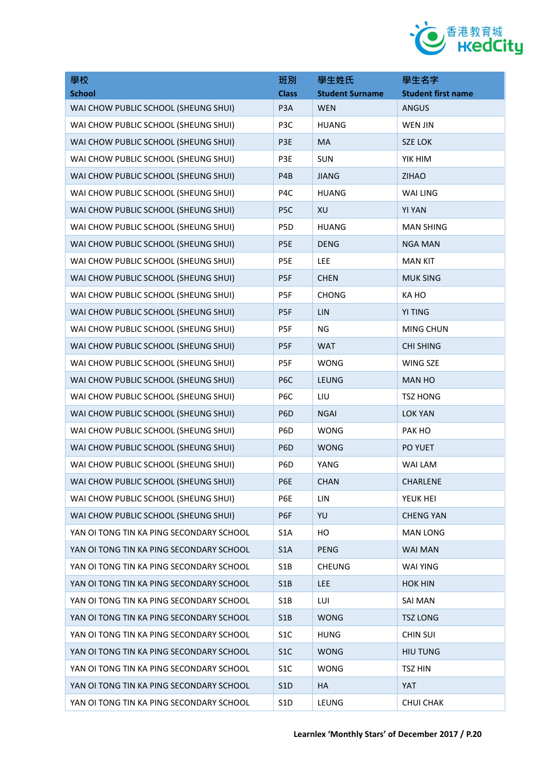

| 學校                                       | 班別               | 學生姓氏                   | 學生名字                      |
|------------------------------------------|------------------|------------------------|---------------------------|
| <b>School</b>                            | <b>Class</b>     | <b>Student Surname</b> | <b>Student first name</b> |
| WAI CHOW PUBLIC SCHOOL (SHEUNG SHUI)     | P <sub>3</sub> A | <b>WEN</b>             | <b>ANGUS</b>              |
| WAI CHOW PUBLIC SCHOOL (SHEUNG SHUI)     | P3C              | <b>HUANG</b>           | <b>WEN JIN</b>            |
| WAI CHOW PUBLIC SCHOOL (SHEUNG SHUI)     | P3E              | MA                     | <b>SZE LOK</b>            |
| WAI CHOW PUBLIC SCHOOL (SHEUNG SHUI)     | P3E              | <b>SUN</b>             | YIK HIM                   |
| WAI CHOW PUBLIC SCHOOL (SHEUNG SHUI)     | P <sub>4</sub> B | <b>JIANG</b>           | <b>ZIHAO</b>              |
| WAI CHOW PUBLIC SCHOOL (SHEUNG SHUI)     | P <sub>4</sub> C | <b>HUANG</b>           | WAI LING                  |
| WAI CHOW PUBLIC SCHOOL (SHEUNG SHUI)     | P5C              | XU                     | <b>YI YAN</b>             |
| WAI CHOW PUBLIC SCHOOL (SHEUNG SHUI)     | P5D              | <b>HUANG</b>           | <b>MAN SHING</b>          |
| WAI CHOW PUBLIC SCHOOL (SHEUNG SHUI)     | P5E              | <b>DENG</b>            | <b>NGA MAN</b>            |
| WAI CHOW PUBLIC SCHOOL (SHEUNG SHUI)     | P5E              | <b>LEE</b>             | <b>MAN KIT</b>            |
| WAI CHOW PUBLIC SCHOOL (SHEUNG SHUI)     | P5F              | <b>CHEN</b>            | <b>MUK SING</b>           |
| WAI CHOW PUBLIC SCHOOL (SHEUNG SHUI)     | P5F              | <b>CHONG</b>           | KA HO                     |
| WAI CHOW PUBLIC SCHOOL (SHEUNG SHUI)     | P5F              | LIN                    | <b>YI TING</b>            |
| WAI CHOW PUBLIC SCHOOL (SHEUNG SHUI)     | P5F              | <b>NG</b>              | <b>MING CHUN</b>          |
| WAI CHOW PUBLIC SCHOOL (SHEUNG SHUI)     | P5F              | <b>WAT</b>             | <b>CHI SHING</b>          |
| WAI CHOW PUBLIC SCHOOL (SHEUNG SHUI)     | P5F              | <b>WONG</b>            | WING SZE                  |
| WAI CHOW PUBLIC SCHOOL (SHEUNG SHUI)     | P <sub>6</sub> C | <b>LEUNG</b>           | <b>MAN HO</b>             |
| WAI CHOW PUBLIC SCHOOL (SHEUNG SHUI)     | P6C              | LIU                    | <b>TSZ HONG</b>           |
| WAI CHOW PUBLIC SCHOOL (SHEUNG SHUI)     | P <sub>6</sub> D | <b>NGAI</b>            | <b>LOK YAN</b>            |
| WAI CHOW PUBLIC SCHOOL (SHEUNG SHUI)     | P6D              | <b>WONG</b>            | PAK HO                    |
| WAI CHOW PUBLIC SCHOOL (SHEUNG SHUI)     | P <sub>6</sub> D | <b>WONG</b>            | PO YUET                   |
| WAI CHOW PUBLIC SCHOOL (SHEUNG SHUI)     | P6D              | YANG                   | WAI LAM                   |
| WAI CHOW PUBLIC SCHOOL (SHEUNG SHUI)     | P6E              | <b>CHAN</b>            | <b>CHARLENE</b>           |
| WAI CHOW PUBLIC SCHOOL (SHEUNG SHUI)     | P6E              | LIN                    | YEUK HEI                  |
| WAI CHOW PUBLIC SCHOOL (SHEUNG SHUI)     | P6F              | YU                     | <b>CHENG YAN</b>          |
| YAN OI TONG TIN KA PING SECONDARY SCHOOL | S <sub>1</sub> A | HO                     | <b>MAN LONG</b>           |
| YAN OI TONG TIN KA PING SECONDARY SCHOOL | S1A              | <b>PENG</b>            | <b>WAI MAN</b>            |
| YAN OI TONG TIN KA PING SECONDARY SCHOOL | S <sub>1</sub> B | <b>CHEUNG</b>          | <b>WAI YING</b>           |
| YAN OI TONG TIN KA PING SECONDARY SCHOOL | S1B              | <b>LEE</b>             | <b>HOK HIN</b>            |
| YAN OI TONG TIN KA PING SECONDARY SCHOOL | S1B              | LUI                    | <b>SAI MAN</b>            |
| YAN OI TONG TIN KA PING SECONDARY SCHOOL | S1B              | <b>WONG</b>            | <b>TSZ LONG</b>           |
| YAN OI TONG TIN KA PING SECONDARY SCHOOL | S <sub>1</sub> C | <b>HUNG</b>            | <b>CHIN SUI</b>           |
| YAN OI TONG TIN KA PING SECONDARY SCHOOL | S1C              | <b>WONG</b>            | <b>HIU TUNG</b>           |
| YAN OI TONG TIN KA PING SECONDARY SCHOOL | S <sub>1</sub> C | <b>WONG</b>            | <b>TSZ HIN</b>            |
| YAN OI TONG TIN KA PING SECONDARY SCHOOL | S <sub>1</sub> D | HA                     | <b>YAT</b>                |
| YAN OI TONG TIN KA PING SECONDARY SCHOOL | S1D              | LEUNG                  | <b>CHUI CHAK</b>          |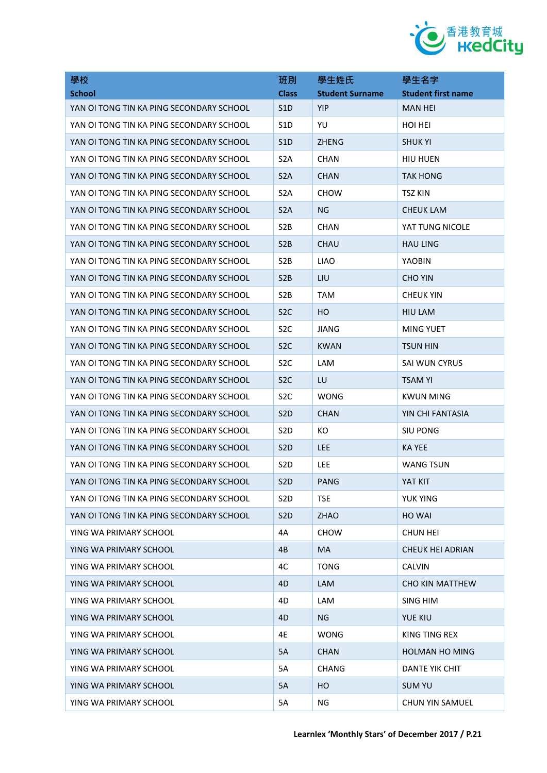

| 學校                                       | 班別               | 學生姓氏                   | 學生名字                      |
|------------------------------------------|------------------|------------------------|---------------------------|
| <b>School</b>                            | <b>Class</b>     | <b>Student Surname</b> | <b>Student first name</b> |
| YAN OI TONG TIN KA PING SECONDARY SCHOOL | S1D              | <b>YIP</b>             | <b>MAN HEI</b>            |
| YAN OI TONG TIN KA PING SECONDARY SCHOOL | S <sub>1</sub> D | YU                     | <b>HOI HEI</b>            |
| YAN OI TONG TIN KA PING SECONDARY SCHOOL | S1D              | <b>ZHENG</b>           | <b>SHUK YI</b>            |
| YAN OI TONG TIN KA PING SECONDARY SCHOOL | S <sub>2</sub> A | <b>CHAN</b>            | <b>HIU HUEN</b>           |
| YAN OI TONG TIN KA PING SECONDARY SCHOOL | S <sub>2</sub> A | <b>CHAN</b>            | <b>TAK HONG</b>           |
| YAN OI TONG TIN KA PING SECONDARY SCHOOL | S <sub>2</sub> A | <b>CHOW</b>            | <b>TSZ KIN</b>            |
| YAN OI TONG TIN KA PING SECONDARY SCHOOL | S <sub>2</sub> A | NG                     | CHEUK LAM                 |
| YAN OI TONG TIN KA PING SECONDARY SCHOOL | S <sub>2</sub> B | <b>CHAN</b>            | YAT TUNG NICOLE           |
| YAN OI TONG TIN KA PING SECONDARY SCHOOL | S <sub>2</sub> B | <b>CHAU</b>            | <b>HAU LING</b>           |
| YAN OI TONG TIN KA PING SECONDARY SCHOOL | S <sub>2</sub> B | <b>LIAO</b>            | <b>YAOBIN</b>             |
| YAN OI TONG TIN KA PING SECONDARY SCHOOL | S <sub>2</sub> B | LIU                    | <b>CHO YIN</b>            |
| YAN OI TONG TIN KA PING SECONDARY SCHOOL | S <sub>2</sub> B | <b>TAM</b>             | <b>CHEUK YIN</b>          |
| YAN OI TONG TIN KA PING SECONDARY SCHOOL | S <sub>2</sub> C | HO                     | <b>HIU LAM</b>            |
| YAN OI TONG TIN KA PING SECONDARY SCHOOL | S <sub>2</sub> C | JIANG                  | MING YUET                 |
| YAN OI TONG TIN KA PING SECONDARY SCHOOL | S <sub>2</sub> C | <b>KWAN</b>            | <b>TSUN HIN</b>           |
| YAN OI TONG TIN KA PING SECONDARY SCHOOL | S <sub>2</sub> C | LAM                    | SAI WUN CYRUS             |
| YAN OI TONG TIN KA PING SECONDARY SCHOOL | S <sub>2</sub> C | LU                     | <b>TSAM YI</b>            |
| YAN OI TONG TIN KA PING SECONDARY SCHOOL | S <sub>2</sub> C | <b>WONG</b>            | <b>KWUN MING</b>          |
| YAN OI TONG TIN KA PING SECONDARY SCHOOL | S <sub>2</sub> D | <b>CHAN</b>            | YIN CHI FANTASIA          |
| YAN OI TONG TIN KA PING SECONDARY SCHOOL | S <sub>2</sub> D | КO                     | SIU PONG                  |
| YAN OI TONG TIN KA PING SECONDARY SCHOOL | S <sub>2</sub> D | <b>LEE</b>             | KA YEE                    |
| YAN OI TONG TIN KA PING SECONDARY SCHOOL | S <sub>2</sub> D | LEE                    | <b>WANG TSUN</b>          |
| YAN OI TONG TIN KA PING SECONDARY SCHOOL | S <sub>2</sub> D | PANG                   | YAT KIT                   |
| YAN OI TONG TIN KA PING SECONDARY SCHOOL | S <sub>2</sub> D | <b>TSE</b>             | <b>YUK YING</b>           |
| YAN OI TONG TIN KA PING SECONDARY SCHOOL | S <sub>2</sub> D | ZHAO                   | <b>HO WAI</b>             |
| YING WA PRIMARY SCHOOL                   | 4A               | <b>CHOW</b>            | <b>CHUN HEI</b>           |
| YING WA PRIMARY SCHOOL                   | 4B               | MA                     | <b>CHEUK HEI ADRIAN</b>   |
| YING WA PRIMARY SCHOOL                   | 4C               | <b>TONG</b>            | <b>CALVIN</b>             |
| YING WA PRIMARY SCHOOL                   | 4D               | LAM                    | <b>CHO KIN MATTHEW</b>    |
| YING WA PRIMARY SCHOOL                   | 4D               | LAM                    | <b>SING HIM</b>           |
| YING WA PRIMARY SCHOOL                   | 4D               | NG.                    | <b>YUE KIU</b>            |
| YING WA PRIMARY SCHOOL                   | 4E               | <b>WONG</b>            | KING TING REX             |
| YING WA PRIMARY SCHOOL                   | 5A               | <b>CHAN</b>            | <b>HOLMAN HO MING</b>     |
| YING WA PRIMARY SCHOOL                   | 5A               | <b>CHANG</b>           | DANTE YIK CHIT            |
| YING WA PRIMARY SCHOOL                   | 5A               | HO                     | <b>SUM YU</b>             |
| YING WA PRIMARY SCHOOL                   | 5A               | ΝG                     | <b>CHUN YIN SAMUEL</b>    |